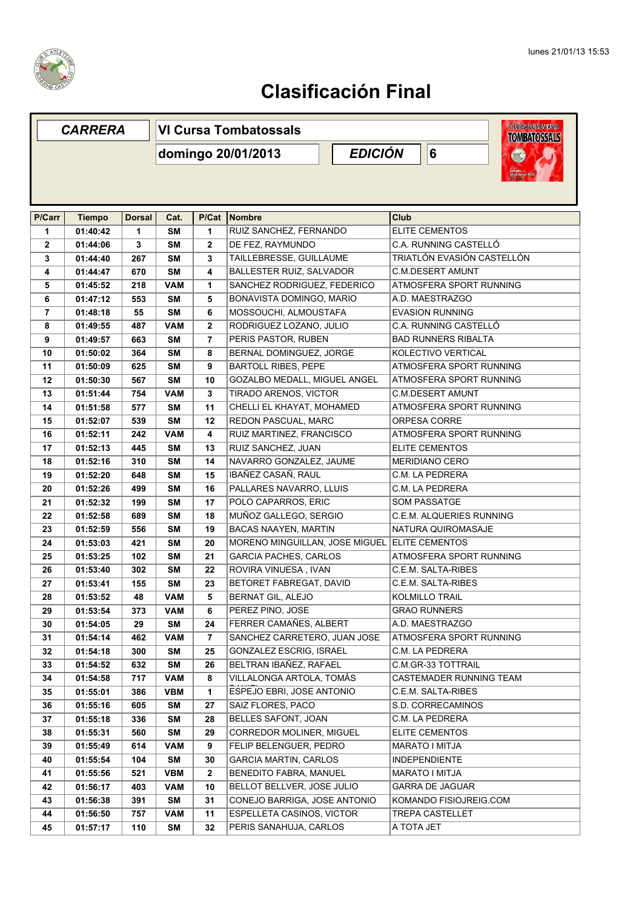

|              | <b>CARRERA</b> |               | <b>WICUREADEMININAMA</b><br><b>VI Cursa Tombatossals</b><br><b>TOMBATOSSALS</b> |                                   |                                               |                                                       |  |  |
|--------------|----------------|---------------|---------------------------------------------------------------------------------|-----------------------------------|-----------------------------------------------|-------------------------------------------------------|--|--|
|              |                |               | domingo 20/01/2013                                                              | <b>EDICIÓN</b><br>6<br>$\sqrt{2}$ |                                               |                                                       |  |  |
|              |                |               |                                                                                 |                                   |                                               |                                                       |  |  |
|              |                |               |                                                                                 |                                   |                                               |                                                       |  |  |
|              |                |               |                                                                                 |                                   |                                               |                                                       |  |  |
| P/Carr       | <b>Tiempo</b>  | <b>Dorsal</b> | Cat.                                                                            | P/Cat                             | Nombre                                        | <b>Club</b><br><b>ELITE CEMENTOS</b>                  |  |  |
| 1            | 01:40:42       | 1             | <b>SM</b>                                                                       | 1                                 | RUIZ SANCHEZ, FERNANDO                        | C.A. RUNNING CASTELLÓ                                 |  |  |
| $\mathbf{2}$ | 01:44:06       | 3             | <b>SM</b>                                                                       | $\mathbf{2}$                      | DE FEZ, RAYMUNDO                              |                                                       |  |  |
| 3            | 01:44:40       | 267           | <b>SM</b>                                                                       | 3                                 | TAILLEBRESSE, GUILLAUME                       | TRIATLÓN EVASIÓN CASTELLÓN<br><b>C.M.DESERT AMUNT</b> |  |  |
| 4            | 01:44:47       | 670           | <b>SM</b>                                                                       | 4                                 | BALLESTER RUIZ, SALVADOR                      |                                                       |  |  |
| 5            | 01:45:52       | 218           | <b>VAM</b>                                                                      | 1                                 | SANCHEZ RODRIGUEZ, FEDERICO                   | ATMOSFERA SPORT RUNNING                               |  |  |
| 6            | 01:47:12       | 553           | <b>SM</b>                                                                       | 5                                 | BONAVISTA DOMINGO, MARIO                      | A.D. MAESTRAZGO                                       |  |  |
| 7            | 01:48:18       | 55            | <b>SM</b>                                                                       | 6                                 | MOSSOUCHI, ALMOUSTAFA                         | <b>EVASION RUNNING</b>                                |  |  |
| 8            | 01:49:55       | 487           | VAM                                                                             | $\mathbf{2}$                      | RODRIGUEZ LOZANO, JULIO                       | C.A. RUNNING CASTELLÓ<br><b>BAD RUNNERS RIBALTA</b>   |  |  |
| 9            | 01:49:57       | 663           | <b>SM</b>                                                                       | $\overline{7}$                    | PERIS PASTOR, RUBEN                           |                                                       |  |  |
| 10           | 01:50:02       | 364           | <b>SM</b>                                                                       | 8                                 | BERNAL DOMINGUEZ, JORGE                       | KOLECTIVO VERTICAL                                    |  |  |
| 11           | 01:50:09       | 625           | <b>SM</b>                                                                       | 9                                 | <b>BARTOLL RIBES, PEPE</b>                    | ATMOSFERA SPORT RUNNING                               |  |  |
| 12           | 01:50:30       | 567           | <b>SM</b>                                                                       | 10                                | <b>GOZALBO MEDALL, MIGUEL ANGEL</b>           | ATMOSFERA SPORT RUNNING                               |  |  |
| 13           | 01:51:44       | 754           | <b>VAM</b>                                                                      | 3                                 | TIRADO ARENOS, VICTOR                         | <b>C.M.DESERT AMUNT</b>                               |  |  |
| 14           | 01:51:58       | 577           | <b>SM</b>                                                                       | 11                                | CHELLI EL KHAYAT, MOHAMED                     | ATMOSFERA SPORT RUNNING                               |  |  |
| 15           | 01:52:07       | 539           | <b>SM</b>                                                                       | 12                                | REDON PASCUAL, MARC                           | ORPESA CORRE                                          |  |  |
| 16           | 01:52:11       | 242           | <b>VAM</b>                                                                      | 4                                 | RUIZ MARTINEZ, FRANCISCO                      | ATMOSFERA SPORT RUNNING                               |  |  |
| 17           | 01:52:13       | 445           | <b>SM</b>                                                                       | 13                                | RUIZ SANCHEZ, JUAN                            | <b>ELITE CEMENTOS</b>                                 |  |  |
| 18           | 01:52:16       | 310           | <b>SM</b>                                                                       | 14                                | NAVARRO GONZALEZ, JAUME                       | <b>MERIDIANO CERO</b>                                 |  |  |
| 19           | 01:52:20       | 648           | <b>SM</b>                                                                       | 15                                | IBAÑEZ CASAÑ, RAUL                            | C.M. LA PEDRERA                                       |  |  |
| 20           | 01:52:26       | 499           | <b>SM</b>                                                                       | 16                                | PALLARES NAVARRO, LLUIS                       | C.M. LA PEDRERA                                       |  |  |
| 21           | 01:52:32       | 199           | <b>SM</b>                                                                       | 17                                | POLO CAPARROS, ERIC                           | <b>SOM PASSATGE</b>                                   |  |  |
| 22           | 01:52:58       | 689           | <b>SM</b>                                                                       | 18                                | MUÑOZ GALLEGO, SERGIO                         | C.E.M. ALQUERIES RUNNING                              |  |  |
| 23           | 01:52:59       | 556           | <b>SM</b>                                                                       | 19                                | BACAS NAAYEN, MARTIN                          | NATURA QUIROMASAJE                                    |  |  |
| 24           | 01:53:03       | 421           | <b>SM</b>                                                                       | 20                                | MORENO MINGUILLAN, JOSE MIGUEL ELITE CEMENTOS |                                                       |  |  |
| 25           | 01:53:25       | 102           | <b>SM</b>                                                                       | 21                                | <b>GARCIA PACHES, CARLOS</b>                  | ATMOSFERA SPORT RUNNING                               |  |  |
| 26           | 01:53:40       | 302           | <b>SM</b>                                                                       | 22                                | ROVIRA VINUESA, IVAN                          | C.E.M. SALTA-RIBES                                    |  |  |
| 27           | 01:53:41       | 155           | <b>SM</b>                                                                       | 23                                | BETORET FABREGAT, DAVID                       | C.E.M. SALTA-RIBES                                    |  |  |
| 28           | 01:53:52       | 48            | <b>VAM</b>                                                                      | 5                                 | BERNAT GIL, ALEJO                             | KOLMILLO TRAIL                                        |  |  |
| 29           | 01:53:54       | 373           | <b>VAM</b>                                                                      | 6                                 | PEREZ PINO, JOSE                              | <b>GRAO RUNNERS</b>                                   |  |  |
| 30           | 01:54:05       | 29            | <b>SM</b>                                                                       | 24                                | FERRER CAMAÑES, ALBERT                        | A.D. MAESTRAZGO                                       |  |  |
| 31           | 01:54:14       | 462           | <b>VAM</b>                                                                      | $\overline{7}$                    | SANCHEZ CARRETERO, JUAN JOSE                  | ATMOSFERA SPORT RUNNING                               |  |  |
| 32           | 01:54:18       | 300           | <b>SM</b>                                                                       | 25                                | GONZALEZ ESCRIG, ISRAEL                       | C.M. LA PEDRERA                                       |  |  |
| 33           | 01:54:52       | 632           | <b>SM</b>                                                                       | 26                                | BELTRAN IBAÑEZ, RAFAEL                        | C.M.GR-33 TOTTRAIL                                    |  |  |
| 34           | 01:54:58       | 717           | VAM                                                                             | 8                                 | VILLALONGA ARTOLA, TOMÁS                      | CASTEMADER RUNNING TEAM                               |  |  |
| 35           | 01:55:01       | 386           | VBM                                                                             | 1                                 | ESPEJO EBRI, JOSE ANTONIO                     | C.E.M. SALTA-RIBES                                    |  |  |
| 36           | 01:55:16       | 605           | <b>SM</b>                                                                       | 27                                | SAIZ FLORES, PACO                             | S.D. CORRECAMINOS                                     |  |  |
| 37           | 01:55:18       | 336           | <b>SM</b>                                                                       | 28                                | BELLES SAFONT, JOAN                           | C.M. LA PEDRERA                                       |  |  |
| 38           | 01:55:31       | 560           | <b>SM</b>                                                                       | 29                                | CORREDOR MOLINER, MIGUEL                      | <b>ELITE CEMENTOS</b>                                 |  |  |
| 39           | 01:55:49       | 614           | <b>VAM</b>                                                                      | 9                                 | FELIP BELENGUER, PEDRO                        | MARATO I MITJA                                        |  |  |
| 40           | 01:55:54       | 104           | <b>SM</b>                                                                       | 30                                | GARCIA MARTIN, CARLOS                         | <b>INDEPENDIENTE</b>                                  |  |  |
| 41           | 01:55:56       | 521           | <b>VBM</b>                                                                      | $\overline{2}$                    | <b>BENEDITO FABRA, MANUEL</b>                 | <b>MARATO I MITJA</b>                                 |  |  |
| 42           | 01:56:17       | 403           | <b>VAM</b>                                                                      | 10                                | BELLOT BELLVER, JOSE JULIO                    | <b>GARRA DE JAGUAR</b>                                |  |  |
| 43           | 01:56:38       | 391           | SM                                                                              | 31                                | CONEJO BARRIGA, JOSE ANTONIO                  | KOMANDO FISIOJREIG.COM                                |  |  |
| 44           | 01:56:50       | 757           | VAM                                                                             | 11                                | ESPELLETA CASINOS, VICTOR                     | <b>TREPA CASTELLET</b>                                |  |  |
| 45           | 01:57:17       | 110           | <b>SM</b>                                                                       | 32                                | PERIS SANAHUJA, CARLOS                        | A TOTA JET                                            |  |  |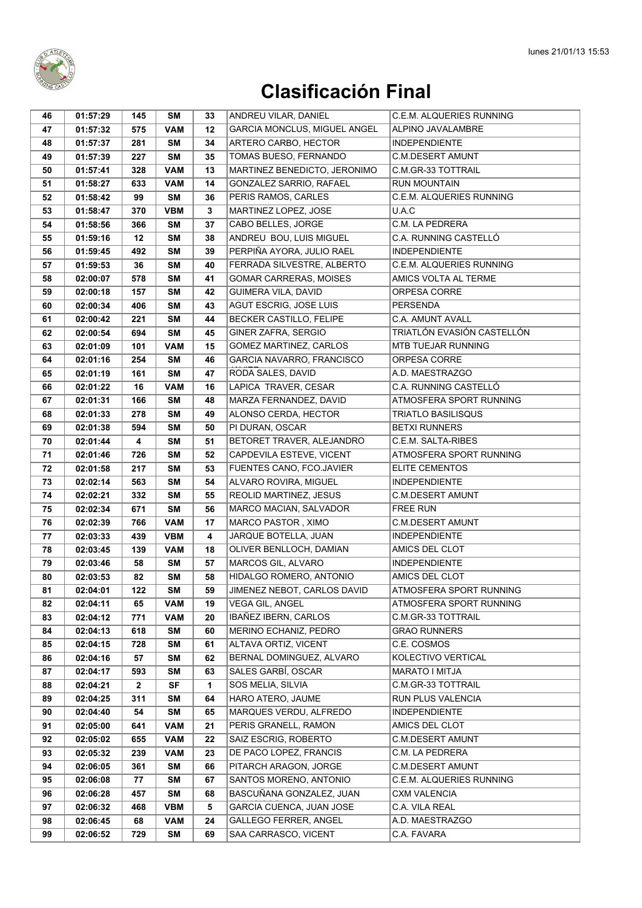

| 46       | 01:57:29             | 145          | SM               | 33      | ANDREU VILAR, DANIEL                               | <b>C.E.M. ALQUERIES RUNNING</b>       |
|----------|----------------------|--------------|------------------|---------|----------------------------------------------------|---------------------------------------|
| 47       | 01:57:32             | 575          | <b>VAM</b>       | 12      | GARCIA MONCLUS, MIGUEL ANGEL                       | ALPINO JAVALAMBRE                     |
| 48       | 01:57:37             | 281          | <b>SM</b>        | 34      | ARTERO CARBO, HECTOR                               | <b>INDEPENDIENTE</b>                  |
| 49       | 01:57:39             | 227          | <b>SM</b>        | 35      | TOMAS BUESO, FERNANDO                              | <b>C.M.DESERT AMUNT</b>               |
| 50       | 01:57:41             | 328          | <b>VAM</b>       | 13      | MARTINEZ BENEDICTO, JERONIMO                       | C.M.GR-33 TOTTRAIL                    |
| 51       | 01:58:27             | 633          | <b>VAM</b>       | 14      | GONZALEZ SARRIO, RAFAEL                            | <b>RUN MOUNTAIN</b>                   |
| 52       | 01:58:42             | 99           | <b>SM</b>        | 36      | PERIS RAMOS, CARLES                                | C.E.M. ALQUERIES RUNNING              |
| 53       | 01:58:47             | 370          | <b>VBM</b>       | 3       | MARTINEZ LOPEZ, JOSE                               | U.A.C                                 |
| 54       | 01:58:56             | 366          | <b>SM</b>        | 37      | CABO BELLES, JORGE                                 | C.M. LA PEDRERA                       |
| 55       | 01:59:16             | 12           | <b>SM</b>        | 38      | ANDREU BOU, LUIS MIGUEL                            | C.A. RUNNING CASTELLÓ                 |
| 56       | 01:59:45             | 492          | <b>SM</b>        | 39      | PERPIÑA AYORA, JULIO RAEL                          | <b>INDEPENDIENTE</b>                  |
| 57       | 01:59:53             | 36           | <b>SM</b>        | 40      | FERRADA SILVESTRE, ALBERTO                         | <b>C.E.M. ALQUERIES RUNNING</b>       |
| 58       | 02:00:07             | 578          | <b>SM</b>        | 41      | <b>GOMAR CARRERAS, MOISES</b>                      | AMICS VOLTA AL TERME                  |
| 59       | 02:00:18             | 157          | SM               | 42      | GUIMERA VILA, DAVID                                | ORPESA CORRE                          |
| 60       | 02:00:34             | 406          | <b>SM</b>        | 43      | AGUT ESCRIG, JOSE LUIS                             | <b>PERSENDA</b>                       |
| 61       | 02:00:42             | 221          | SM               | 44      | BECKER CASTILLO, FELIPE                            | C.A. AMUNT AVALL                      |
| 62       | 02:00:54             | 694          | <b>SM</b>        | 45      | GINER ZAFRA, SERGIO                                | TRIATLÓN EVASIÓN CASTELLÓN            |
| 63       | 02:01:09             | 101          | <b>VAM</b>       | 15      | <b>GOMEZ MARTINEZ, CARLOS</b>                      | MTB TUEJAR RUNNING                    |
| 64       | 02:01:16             | 254          | <b>SM</b>        | 46      | GARCIA NAVARRO, FRANCISCO                          | ORPESA CORRE                          |
| 65       | 02:01:19             | 161          | <b>SM</b>        | 47      | RODA SALES, DAVID                                  | A.D. MAESTRAZGO                       |
| 66       | 02:01:22             | 16           | <b>VAM</b>       | 16      | LAPICA TRAVER, CESAR                               | C.A. RUNNING CASTELLÓ                 |
| 67       | 02:01:31             | 166          | <b>SM</b>        | 48      | MARZA FERNANDEZ, DAVID                             | ATMOSFERA SPORT RUNNING               |
| 68       | 02:01:33             | 278          | <b>SM</b>        | 49      | ALONSO CERDA, HECTOR                               | <b>TRIATLO BASILISQUS</b>             |
| 69       | 02:01:38             | 594          | <b>SM</b>        | 50      | PI DURAN, OSCAR                                    | <b>BETXI RUNNERS</b>                  |
| 70       | 02:01:44             | 4            | <b>SM</b>        | 51      | BETORET TRAVER, ALEJANDRO                          | C.E.M. SALTA-RIBES                    |
| 71       | 02:01:46             | 726          | <b>SM</b>        | 52      | CAPDEVILA ESTEVE, VICENT                           | ATMOSFERA SPORT RUNNING               |
| 72       | 02:01:58             | 217          | SM               | 53      | FUENTES CANO, FCO.JAVIER                           | <b>ELITE CEMENTOS</b>                 |
| 73       | 02:02:14             | 563          | SΜ               | 54      | ALVARO ROVIRA, MIGUEL                              | <b>INDEPENDIENTE</b>                  |
| 74       | 02:02:21             | 332          | SM               | 55      | REOLID MARTINEZ, JESUS                             | <b>C.M.DESERT AMUNT</b>               |
| 75       | 02:02:34             | 671          | <b>SM</b>        | 56      | MARCO MACIAN, SALVADOR                             | <b>FREE RUN</b>                       |
| 76       | 02:02:39             | 766          | <b>VAM</b>       | 17      | MARCO PASTOR, XIMO                                 | <b>C.M.DESERT AMUNT</b>               |
| 77       | 02:03:33             | 439          | <b>VBM</b>       | 4       | JARQUE BOTELLA, JUAN                               | <b>INDEPENDIENTE</b>                  |
| 78       | 02:03:45             | 139          | <b>VAM</b>       | 18      | OLIVER BENLLOCH, DAMIAN                            | AMICS DEL CLOT                        |
| 79       | 02:03:46             | 58           | <b>SM</b>        | 57      | MARCOS GIL, ALVARO                                 | <b>INDEPENDIENTE</b>                  |
| 80       | 02:03:53             | 82           | SM               | 58      | HIDALGO ROMERO, ANTONIO                            | AMICS DEL CLOT                        |
| 81       | 02:04:01             | 122          | <b>SM</b>        | 59      | JIMENEZ NEBOT, CARLOS DAVID                        | ATMOSFERA SPORT RUNNING               |
| 82       | 02:04:11             | 65           | <b>VAM</b>       | 19      | VEGA GIL, ANGEL                                    | ATMOSFERA SPORT RUNNING               |
| 83       | 02:04:12             | 771          | <b>VAM</b>       | 20      | IBAÑEZ IBERN, CARLOS                               | C.M.GR-33 TOTTRAIL                    |
| 84       | 02:04:13             | 618          | SM               | 60      | MERINO ECHANIZ, PEDRO                              | <b>GRAO RUNNERS</b>                   |
| 85       | 02:04:15             | 728          | SM               | 61      | ALTAVA ORTIZ, VICENT                               | C.E. COSMOS                           |
| 86       | 02:04:16             | 57           | SM               | 62      | BERNAL DOMINGUEZ, ALVARO                           | KOLECTIVO VERTICAL                    |
| 87       | 02:04:17             | 593          | SM               | 63      | SALES GARBÍ, OSCAR                                 | MARATO I MITJA                        |
| 88       | 02:04:21             | $\mathbf{2}$ | <b>SF</b>        | 1       | SOS MELIA, SILVIA                                  | C.M.GR-33 TOTTRAIL                    |
| 89       | 02:04:25             | 311          | SM               | 64      | HARO ATERO, JAUME                                  | RUN PLUS VALENCIA                     |
| 90       | 02:04:40             | 54           | SM               | 65      | MARQUES VERDU, ALFREDO<br>PERIS GRANELL. RAMON     | <b>INDEPENDIENTE</b>                  |
| 91       | 02:05:00             | 641          | <b>VAM</b>       | 21      |                                                    | AMICS DEL CLOT                        |
| 92       | 02:05:02             | 655          | <b>VAM</b>       | 22      | SAIZ ESCRIG, ROBERTO                               | <b>C.M.DESERT AMUNT</b>               |
| 93       | 02:05:32             | 239          | VAM              | 23      | DE PACO LOPEZ, FRANCIS                             | C.M. LA PEDRERA                       |
| 94       | 02:06:05             | 361          | SM               | 66      | PITARCH ARAGON, JORGE                              | <b>C.M.DESERT AMUNT</b>               |
| 95       | 02:06:08             | 77           | SM               | 67      | SANTOS MORENO, ANTONIO<br>BASCUÑANA GONZALEZ, JUAN | C.E.M. ALQUERIES RUNNING              |
| 96<br>97 | 02:06:28<br>02:06:32 | 457<br>468   | SM<br><b>VBM</b> | 68<br>5 | GARCIA CUENCA, JUAN JOSE                           | <b>CXM VALENCIA</b><br>C.A. VILA REAL |
| 98       | 02:06:45             | 68           | <b>VAM</b>       | 24      | <b>GALLEGO FERRER, ANGEL</b>                       | A.D. MAESTRAZGO                       |
| 99       | 02:06:52             | 729          | SM               | 69      | SAA CARRASCO, VICENT                               | C.A. FAVARA                           |
|          |                      |              |                  |         |                                                    |                                       |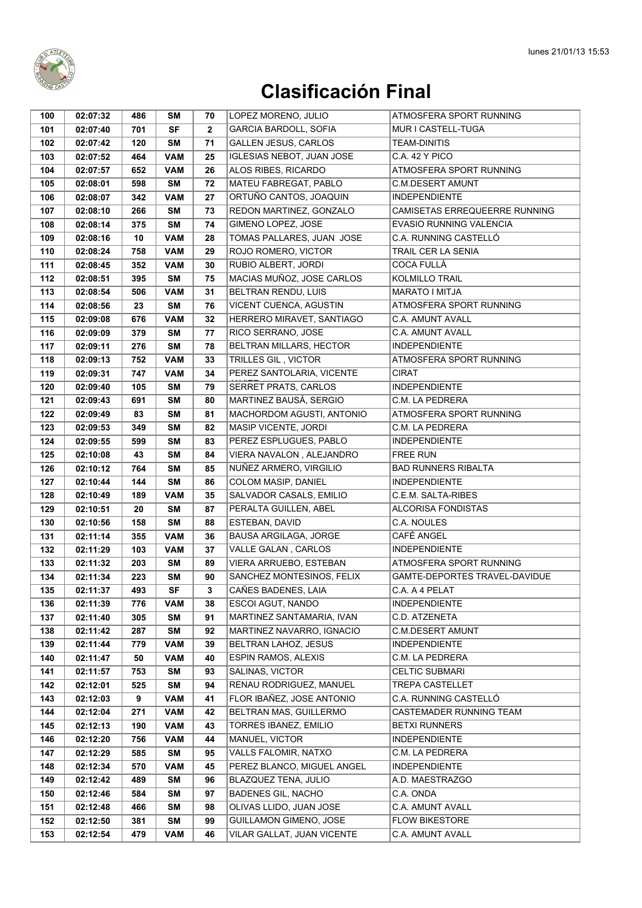

| 100        | 02:07:32             | 486        | SΜ                       | 70           | LOPEZ MORENO, JULIO                                  | ATMOSFERA SPORT RUNNING                  |
|------------|----------------------|------------|--------------------------|--------------|------------------------------------------------------|------------------------------------------|
| 101        | 02:07:40             | 701        | <b>SF</b>                | $\mathbf{2}$ | <b>GARCIA BARDOLL, SOFIA</b>                         | MUR I CASTELL-TUGA                       |
| 102        | 02:07:42             | 120        | <b>SM</b>                | 71           | <b>GALLEN JESUS, CARLOS</b>                          | <b>TEAM-DINITIS</b>                      |
| 103        | 02:07:52             | 464        | <b>VAM</b>               | 25           | <b>IGLESIAS NEBOT, JUAN JOSE</b>                     | C.A. 42 Y PICO                           |
| 104        | 02:07:57             | 652        | <b>VAM</b>               | 26           | ALOS RIBES, RICARDO                                  | ATMOSFERA SPORT RUNNING                  |
| 105        | 02:08:01             | 598        | <b>SM</b>                | 72           | MATEU FABREGAT, PABLO                                | <b>C.M.DESERT AMUNT</b>                  |
| 106        | 02:08:07             | 342        | <b>VAM</b>               | 27           | ORTUÑO CANTOS, JOAQUIN                               | <b>INDEPENDIENTE</b>                     |
| 107        | 02:08:10             | 266        | SΜ                       | 73           | REDON MARTINEZ, GONZALO                              | CAMISETAS ERREQUEERRE RUNNING            |
| 108        | 02:08:14             | 375        | <b>SM</b>                | 74           | GIMENO LOPEZ, JOSE                                   | <b>EVASIO RUNNING VALENCIA</b>           |
| 109        | 02:08:16             | 10         | <b>VAM</b>               | 28           | TOMAS PALLARES, JUAN JOSE                            | C.A. RUNNING CASTELLÓ                    |
| 110        | 02:08:24             | 758        | <b>VAM</b>               | 29           | ROJO ROMERO, VICTOR                                  | <b>TRAIL CER LA SENIA</b>                |
| 111        | 02:08:45             | 352        | <b>VAM</b>               | 30           | RUBIO ALBERT, JORDI                                  | <b>COCA FULLÀ</b>                        |
| 112        | 02:08:51             | 395        | <b>SM</b>                | 75           | MACIAS MUÑOZ, JOSE CARLOS                            | <b>KOLMILLO TRAIL</b>                    |
| 113        | 02:08:54             | 506        | <b>VAM</b>               | 31           | <b>BELTRAN RENDU, LUIS</b>                           | <b>MARATO I MITJA</b>                    |
| 114        | 02:08:56             | 23         | <b>SM</b>                | 76           | VICENT CUENCA, AGUSTIN                               | ATMOSFERA SPORT RUNNING                  |
| 115        | 02:09:08             | 676        | <b>VAM</b>               | 32           | HERRERO MIRAVET, SANTIAGO                            | C.A. AMUNT AVALL                         |
| 116        | 02:09:09             | 379        | SM                       | 77           | RICO SERRANO, JOSE                                   | <b>C.A. AMUNT AVALL</b>                  |
| 117        | 02:09:11             | 276        | <b>SM</b>                | 78           | BELTRAN MILLARS, HECTOR                              | <b>INDEPENDIENTE</b>                     |
| 118        | 02:09:13             | 752        | <b>VAM</b>               | 33           | TRILLES GIL, VICTOR                                  | ATMOSFERA SPORT RUNNING                  |
| 119        | 02:09:31             | 747        | <b>VAM</b>               | 34           | PEREZ SANTOLARIA, VICENTE                            | CIRAT                                    |
| 120        | 02:09:40             | 105        | <b>SM</b>                | 79           | SERRET PRATS, CARLOS                                 | <b>INDEPENDIENTE</b>                     |
| 121        | 02:09:43             | 691        | <b>SM</b>                | 80           | <b>MARTINEZ BAUSÁ, SERGIO</b>                        | C.M. LA PEDRERA                          |
| 122        | 02:09:49             | 83         | <b>SM</b>                | 81           | <b>MACHORDOM AGUSTI, ANTONIO</b>                     | ATMOSFERA SPORT RUNNING                  |
| 123        | 02:09:53             | 349        | <b>SM</b>                | 82           | MASIP VICENTE, JORDI                                 | C.M. LA PEDRERA                          |
| 124        | 02:09:55             | 599        | <b>SM</b>                | 83           | PEREZ ESPLUGUES, PABLO                               | <b>INDEPENDIENTE</b>                     |
| 125        | 02:10:08             | 43         | <b>SM</b>                | 84           | VIERA NAVALON, ALEJANDRO                             | <b>FREE RUN</b>                          |
| 126        | 02:10:12             | 764        | <b>SM</b>                | 85           | NUÑEZ ARMERO, VIRGILIO                               | <b>BAD RUNNERS RIBALTA</b>               |
| 127        | 02:10:44             | 144        | <b>SM</b>                | 86           | COLOM MASIP, DANIEL                                  | <b>INDEPENDIENTE</b>                     |
| 128        | 02:10:49             | 189        | <b>VAM</b>               | 35           | SALVADOR CASALS, EMILIO                              | C.E.M. SALTA-RIBES                       |
| 129        | 02:10:51             | 20         | <b>SM</b>                | 87           | PERALTA GUILLEN, ABEL                                | <b>ALCORISA FONDISTAS</b>                |
| 130        | 02:10:56             | 158        | <b>SM</b>                | 88           | ESTEBAN, DAVID                                       | C.A. NOULES                              |
| 131        | 02:11:14             | 355        | <b>VAM</b>               | 36           | <b>BAUSA ARGILAGA, JORGE</b>                         | CAFÉ ANGEL                               |
| 132        | 02:11:29             | 103        | <b>VAM</b>               | 37           | VALLE GALAN, CARLOS                                  | <b>INDEPENDIENTE</b>                     |
| 133        | 02:11:32             | 203        | <b>SM</b>                | 89           | VIERA ARRUEBO, ESTEBAN                               | ATMOSFERA SPORT RUNNING                  |
| 134        | 02:11:34             | 223        | SM                       | 90           | SANCHEZ MONTESINOS, FELIX                            | GAMTE-DEPORTES TRAVEL-DAVIDUE            |
| 135        | 02:11:37             | 493        | $\overline{\text{SF}}$   | $\mathbf{3}$ | CAÑES BADENES, LAIA                                  | C.A. A 4 PELAT                           |
| 136        | 02:11:39             | 776        | <b>VAM</b>               | 38           | ESCOI AGUT, NANDO                                    | <b>INDEPENDIENTE</b>                     |
| 137        | 02:11:40             | 305        | SM                       | 91           | MARTINEZ SANTAMARIA, IVAN                            | C.D. ATZENETA                            |
| 138        | 02:11:42             | 287        | SM                       | 92           | MARTINEZ NAVARRO, IGNACIO                            | <b>C.M.DESERT AMUNT</b>                  |
| 139        | 02:11:44             | 779        | <b>VAM</b>               | 39           | <b>BELTRAN LAHOZ, JESUS</b>                          | INDEPENDIENTE                            |
| 140        | 02:11:47             | 50         | <b>VAM</b>               | 40           | <b>ESPIN RAMOS, ALEXIS</b>                           | C.M. LA PEDRERA                          |
| 141        | 02:11:57             | 753        | SM                       | 93           | SALINAS, VICTOR                                      | <b>CELTIC SUBMARI</b>                    |
| 142        | 02:12:01             | 525        | SM                       | 94           | RENAU RODRIGUEZ, MANUEL<br>FLOR IBAÑEZ, JOSE ANTONIO | TREPA CASTELLET<br>C.A. RUNNING CASTELLÓ |
| 143<br>144 | 02:12:03             | 9          | <b>VAM</b><br><b>VAM</b> | 41<br>42     | BELTRAN MAS, GUILLERMO                               | CASTEMADER RUNNING TEAM                  |
| 145        | 02:12:04<br>02:12:13 | 271<br>190 | <b>VAM</b>               | 43           | TORRES IBANEZ, EMILIO                                | <b>BETXI RUNNERS</b>                     |
| 146        | 02:12:20             | 756        | <b>VAM</b>               | 44           | MANUEL, VICTOR                                       | <b>INDEPENDIENTE</b>                     |
| 147        | 02:12:29             | 585        | SM                       | 95           | VALLS FALOMIR, NATXO                                 | C.M. LA PEDRERA                          |
| 148        | 02:12:34             | 570        | <b>VAM</b>               | 45           | PEREZ BLANCO, MIGUEL ANGEL                           | <b>INDEPENDIENTE</b>                     |
| 149        | 02:12:42             | 489        | SM                       | 96           | BLAZQUEZ TENA, JULIO                                 | A.D. MAESTRAZGO                          |
| 150        | 02:12:46             | 584        | SM                       | 97           | <b>BADENES GIL, NACHO</b>                            | C.A. ONDA                                |
| 151        | 02:12:48             | 466        | SM                       | 98           | OLIVAS LLIDO, JUAN JOSE                              | C.A. AMUNT AVALL                         |
| 152        | 02:12:50             | 381        | SM                       | 99           | GUILLAMON GIMENO, JOSE                               | <b>FLOW BIKESTORE</b>                    |
| 153        | 02:12:54             | 479        | <b>VAM</b>               | 46           | VILAR GALLAT, JUAN VICENTE                           | C.A. AMUNT AVALL                         |
|            |                      |            |                          |              |                                                      |                                          |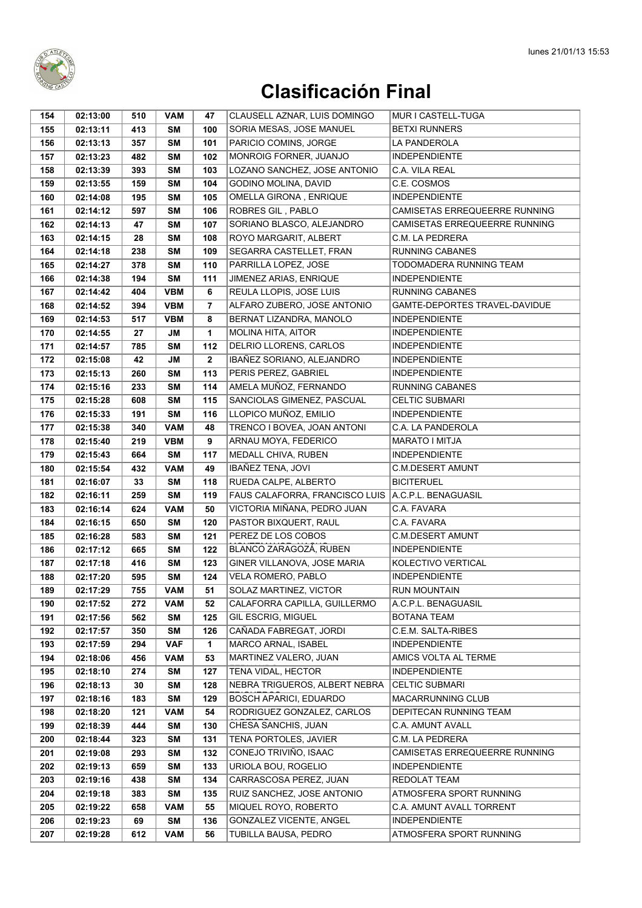

| 154 | 02:13:00 | 510 | <b>VAM</b> | 47           | CLAUSELL AZNAR, LUIS DOMINGO   | MUR I CASTELL-TUGA            |
|-----|----------|-----|------------|--------------|--------------------------------|-------------------------------|
| 155 | 02:13:11 | 413 | <b>SM</b>  | 100          | SORIA MESAS, JOSE MANUEL       | <b>BETXI RUNNERS</b>          |
| 156 | 02:13:13 | 357 | <b>SM</b>  | 101          | PARICIO COMINS, JORGE          | LA PANDEROLA                  |
| 157 | 02:13:23 | 482 | <b>SM</b>  | 102          | MONROIG FORNER, JUANJO         | <b>INDEPENDIENTE</b>          |
| 158 | 02:13:39 | 393 | SΜ         | 103          | LOZANO SANCHEZ, JOSE ANTONIO   | C.A. VILA REAL                |
| 159 | 02:13:55 | 159 | <b>SM</b>  | 104          | GODINO MOLINA, DAVID           | C.E. COSMOS                   |
| 160 | 02:14:08 | 195 | <b>SM</b>  | 105          | OMELLA GIRONA, ENRIQUE         | <b>INDEPENDIENTE</b>          |
| 161 | 02:14:12 | 597 | SΜ         | 106          | ROBRES GIL, PABLO              | CAMISETAS ERREQUEERRE RUNNING |
| 162 | 02:14:13 | 47  | <b>SM</b>  | 107          | SORIANO BLASCO, ALEJANDRO      | CAMISETAS ERREQUEERRE RUNNING |
| 163 | 02:14:15 | 28  | <b>SM</b>  | 108          | ROYO MARGARIT, ALBERT          | C.M. LA PEDRERA               |
| 164 | 02:14:18 | 238 | <b>SM</b>  | 109          | SEGARRA CASTELLET, FRAN        | <b>RUNNING CABANES</b>        |
| 165 | 02:14:27 | 378 | <b>SM</b>  | 110          | PARRILLA LOPEZ, JOSE           | TODOMADERA RUNNING TEAM       |
| 166 | 02:14:38 | 194 | <b>SM</b>  | 111          | JIMENEZ ARIAS, ENRIQUE         | <b>INDEPENDIENTE</b>          |
| 167 | 02:14:42 | 404 | <b>VBM</b> | 6            | REULA LLOPIS, JOSE LUIS        | <b>RUNNING CABANES</b>        |
| 168 | 02:14:52 | 394 | <b>VBM</b> | 7            | ALFARO ZUBERO, JOSE ANTONIO    | GAMTE-DEPORTES TRAVEL-DAVIDUE |
| 169 | 02:14:53 | 517 | <b>VBM</b> | 8            | BERNAT LIZANDRA, MANOLO        | <b>INDEPENDIENTE</b>          |
| 170 | 02:14:55 | 27  | JM         | 1            | MOLINA HITA, AITOR             | <b>INDEPENDIENTE</b>          |
| 171 | 02:14:57 | 785 | <b>SM</b>  | 112          | DELRIO LLORENS, CARLOS         | <b>INDEPENDIENTE</b>          |
| 172 | 02:15:08 | 42  | <b>JM</b>  | $\mathbf{2}$ | IBAÑEZ SORIANO, ALEJANDRO      | <b>INDEPENDIENTE</b>          |
| 173 | 02:15:13 | 260 | <b>SM</b>  | 113          | PERIS PEREZ, GABRIEL           | <b>INDEPENDIENTE</b>          |
| 174 | 02:15:16 | 233 | <b>SM</b>  | 114          | AMELA MUÑOZ, FERNANDO          | <b>RUNNING CABANES</b>        |
| 175 | 02:15:28 | 608 | <b>SM</b>  | 115          | SANCIOLAS GIMENEZ, PASCUAL     | <b>CELTIC SUBMARI</b>         |
| 176 | 02:15:33 | 191 | <b>SM</b>  | 116          | LLOPICO MUÑOZ, EMILIO          | <b>INDEPENDIENTE</b>          |
| 177 | 02:15:38 | 340 | <b>VAM</b> | 48           | TRENCO I BOVEA, JOAN ANTONI    | C.A. LA PANDEROLA             |
| 178 | 02:15:40 | 219 | <b>VBM</b> | 9            | ARNAU MOYA, FEDERICO           | <b>MARATO I MITJA</b>         |
| 179 | 02:15:43 | 664 | SΜ         | 117          | MEDALL CHIVA, RUBEN            | <b>INDEPENDIENTE</b>          |
| 180 | 02:15:54 | 432 | <b>VAM</b> | 49           | IBAÑEZ TENA, JOVI              | <b>C.M.DESERT AMUNT</b>       |
| 181 | 02:16:07 | 33  | <b>SM</b>  | 118          | RUEDA CALPE, ALBERTO           | <b>BICITERUEL</b>             |
| 182 | 02:16:11 | 259 | <b>SM</b>  | 119          | FAUS CALAFORRA, FRANCISCO LUIS | A.C.P.L. BENAGUASIL           |
| 183 | 02:16:14 | 624 | <b>VAM</b> | 50           | VICTORIA MIÑANA, PEDRO JUAN    | C.A. FAVARA                   |
| 184 | 02:16:15 | 650 | <b>SM</b>  | 120          | PASTOR BIXQUERT, RAUL          | C.A. FAVARA                   |
| 185 | 02:16:28 | 583 | <b>SM</b>  | 121          | PEREZ DE LOS COBOS             | C.M.DESERT AMUNT              |
| 186 | 02:17:12 | 665 | <b>SM</b>  | 122          | BLANCO ZARAGOZÁ, RUBEN         | <b>INDEPENDIENTE</b>          |
| 187 | 02:17:18 | 416 | <b>SM</b>  | 123          | GINER VILLANOVA, JOSE MARIA    | KOLECTIVO VERTICAL            |
| 188 | 02:17:20 | 595 | <b>SM</b>  | 124          | VELA ROMERO, PABLO             | <b>INDEPENDIENTE</b>          |
| 189 | 02:17:29 | 755 | <b>VAM</b> | 51           | SOLAZ MARTINEZ, VICTOR         | <b>RUN MOUNTAIN</b>           |
| 190 | 02:17:52 | 272 | <b>VAM</b> | 52           | CALAFORRA CAPILLA, GUILLERMO   | A.C.P.L. BENAGUASIL           |
| 191 | 02:17:56 | 562 | SΜ         | 125          | GIL ESCRIG, MIGUEL             | <b>BOTANA TEAM</b>            |
| 192 | 02:17:57 | 350 | SΜ         | 126          | CAÑADA FABREGAT, JORDI         | C.E.M. SALTA-RIBES            |
| 193 | 02:17:59 | 294 | <b>VAF</b> | 1            | MARCO ARNAL, ISABEL            | <b>INDEPENDIENTE</b>          |
| 194 | 02:18:06 | 456 | <b>VAM</b> | 53           | MARTINEZ VALERO, JUAN          | AMICS VOLTA AL TERME          |
| 195 | 02:18:10 | 274 | SΜ         | 127          | TENA VIDAL, HECTOR             | <b>INDEPENDIENTE</b>          |
| 196 | 02:18:13 | 30  | <b>SM</b>  | 128          | NEBRA TRIGUEROS, ALBERT NEBRA  | <b>CELTIC SUBMARI</b>         |
| 197 | 02:18:16 | 183 | <b>SM</b>  | 129          | <b>BOSCH APARICI, EDUARDO</b>  | MACARRUNNING CLUB             |
| 198 | 02:18:20 | 121 | <b>VAM</b> | 54           | RODRIGUEZ GONZALEZ, CARLOS     | DEPITECAN RUNNING TEAM        |
| 199 | 02:18:39 | 444 | SΜ         | 130          | CHESA SANCHIS, JUAN            | C.A. AMUNT AVALL              |
| 200 | 02:18:44 | 323 | SΜ         | 131          | TENA PORTOLES, JAVIER          | C.M. LA PEDRERA               |
| 201 | 02:19:08 | 293 | SΜ         | 132          | CONEJO TRIVIÑO, ISAAC          | CAMISETAS ERREQUEERRE RUNNING |
| 202 | 02:19:13 | 659 | <b>SM</b>  | 133          | URIOLA BOU, ROGELIO            | <b>INDEPENDIENTE</b>          |
| 203 | 02:19:16 | 438 | <b>SM</b>  | 134          | CARRASCOSA PEREZ, JUAN         | REDOLAT TEAM                  |
| 204 | 02:19:18 | 383 | <b>SM</b>  | 135          | RUIZ SANCHEZ, JOSE ANTONIO     | ATMOSFERA SPORT RUNNING       |
| 205 | 02:19:22 | 658 | <b>VAM</b> | 55           | MIQUEL ROYO, ROBERTO           | C.A. AMUNT AVALL TORRENT      |
| 206 | 02:19:23 | 69  | <b>SM</b>  | 136          | GONZALEZ VICENTE, ANGEL        | <b>INDEPENDIENTE</b>          |
| 207 | 02:19:28 | 612 | <b>VAM</b> | 56           | TUBILLA BAUSA, PEDRO           | ATMOSFERA SPORT RUNNING       |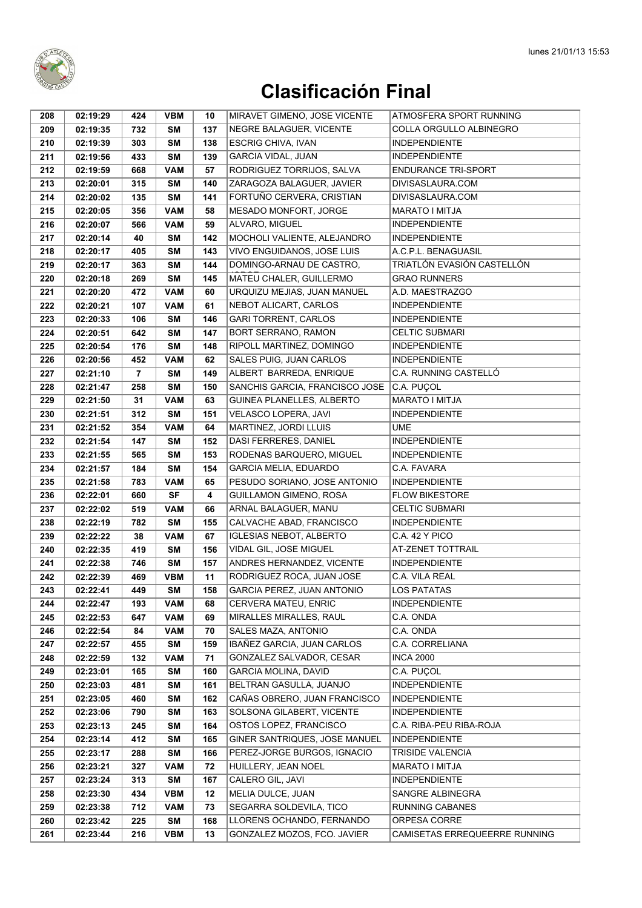

| 208        | 02:19:29             | 424            | <b>VBM</b>       | 10         | MIRAVET GIMENO, JOSE VICENTE            | ATMOSFERA SPORT RUNNING                |
|------------|----------------------|----------------|------------------|------------|-----------------------------------------|----------------------------------------|
| 209        | 02:19:35             | 732            | <b>SM</b>        | 137        | NEGRE BALAGUER, VICENTE                 | COLLA ORGULLO ALBINEGRO                |
| 210        | 02:19:39             | 303            | <b>SM</b>        | 138        | <b>ESCRIG CHIVA, IVAN</b>               | <b>INDEPENDIENTE</b>                   |
| 211        | 02:19:56             | 433            | <b>SM</b>        | 139        | <b>GARCIA VIDAL, JUAN</b>               | <b>INDEPENDIENTE</b>                   |
| 212        | 02:19:59             | 668            | <b>VAM</b>       | 57         | RODRIGUEZ TORRIJOS, SALVA               | <b>ENDURANCE TRI-SPORT</b>             |
| 213        | 02:20:01             | 315            | SΜ               | 140        | ZARAGOZA BALAGUER, JAVIER               | DIVISASLAURA.COM                       |
| 214        | 02:20:02             | 135            | <b>SM</b>        | 141        | FORTUÑO CERVERA, CRISTIAN               | DIVISASLAURA.COM                       |
| 215        | 02:20:05             | 356            | <b>VAM</b>       | 58         | MESADO MONFORT, JORGE                   | MARATO I MITJA                         |
| 216        | 02:20:07             | 566            | <b>VAM</b>       | 59         | ALVARO, MIGUEL                          | <b>INDEPENDIENTE</b>                   |
| 217        | 02:20:14             | 40             | SΜ               | 142        | MOCHOLI VALIENTE, ALEJANDRO             | <b>INDEPENDIENTE</b>                   |
| 218        | 02:20:17             | 405            | SΜ               | 143        | VIVO ENGUIDANOS, JOSE LUIS              | A.C.P.L. BENAGUASIL                    |
| 219        | 02:20:17             | 363            | <b>SM</b>        | 144        | DOMINGO-ARNAU DE CASTRO,                | TRIATLÓN EVASIÓN CASTELLÓN             |
| 220        | 02:20:18             | 269            | <b>SM</b>        | 145        | MATEU CHALER, GUILLERMO                 | <b>GRAO RUNNERS</b>                    |
| 221        | 02:20:20             | 472            | <b>VAM</b>       | 60         | URQUIZU MEJIAS, JUAN MANUEL             | A.D. MAESTRAZGO                        |
| 222        | 02:20:21             | 107            | <b>VAM</b>       | 61         | NEBOT ALICART, CARLOS                   | <b>INDEPENDIENTE</b>                   |
| 223        | 02:20:33             | 106            | SM               | 146        | <b>GARI TORRENT, CARLOS</b>             | <b>INDEPENDIENTE</b>                   |
| 224        | 02:20:51             | 642            | <b>SM</b>        | 147        | <b>BORT SERRANO, RAMON</b>              | <b>CELTIC SUBMARI</b>                  |
| 225        | 02:20:54             | 176            | <b>SM</b>        | 148        | RIPOLL MARTINEZ, DOMINGO                | <b>INDEPENDIENTE</b>                   |
| 226        | 02:20:56             | 452            | <b>VAM</b>       | 62         | SALES PUIG, JUAN CARLOS                 | <b>INDEPENDIENTE</b>                   |
| 227        | 02:21:10             | $\overline{7}$ | <b>SM</b>        | 149        | ALBERT BARREDA, ENRIQUE                 | C.A. RUNNING CASTELLÓ                  |
| 228        | 02:21:47             | 258            | <b>SM</b>        | 150        | SANCHIS GARCIA, FRANCISCO JOSE          | C.A. PUÇOL                             |
| 229        | 02:21:50             | 31             | <b>VAM</b>       | 63         | GUINEA PLANELLES, ALBERTO               | MARATO I MITJA                         |
| 230        | 02:21:51             | 312            | <b>SM</b>        | 151        | VELASCO LOPERA, JAVI                    | <b>INDEPENDIENTE</b>                   |
| 231        | 02:21:52             | 354            | <b>VAM</b>       | 64         | MARTINEZ, JORDI LLUIS                   | <b>UME</b>                             |
| 232        | 02:21:54             | 147            | <b>SM</b>        | 152        | DASI FERRERES, DANIEL                   | <b>INDEPENDIENTE</b>                   |
| 233        | 02:21:55             | 565            | <b>SM</b>        | 153        | RODENAS BARQUERO, MIGUEL                | <b>INDEPENDIENTE</b>                   |
| 234        | 02:21:57             | 184            | SM               | 154        | <b>GARCIA MELIA, EDUARDO</b>            | C.A. FAVARA                            |
| 235        | 02:21:58             | 783            | <b>VAM</b>       | 65         | PESUDO SORIANO, JOSE ANTONIO            | <b>INDEPENDIENTE</b>                   |
| 236        | 02:22:01             | 660            | <b>SF</b>        | 4          | GUILLAMON GIMENO, ROSA                  | <b>FLOW BIKESTORE</b>                  |
| 237        | 02:22:02             | 519            | <b>VAM</b>       | 66         | ARNAL BALAGUER, MANU                    | <b>CELTIC SUBMARI</b>                  |
| 238        | 02:22:19             | 782            | <b>SM</b>        | 155        | CALVACHE ABAD, FRANCISCO                | <b>INDEPENDIENTE</b>                   |
| 239        | 02:22:22             | 38             | <b>VAM</b>       | 67         | <b>IGLESIAS NEBOT, ALBERTO</b>          | C.A. 42 Y PICO                         |
| 240        | 02:22:35             | 419            | <b>SM</b>        | 156        | VIDAL GIL, JOSE MIGUEL                  | AT-ZENET TOTTRAIL                      |
| 241        | 02:22:38             | 746            | <b>SM</b>        | 157        | ANDRES HERNANDEZ, VICENTE               | <b>INDEPENDIENTE</b>                   |
| 242        | 02:22:39             | 469            | <b>VBM</b>       | 11         | RODRIGUEZ ROCA, JUAN JOSE               | C.A. VILA REAL                         |
| 243        | 02:22:41             | 449            | <b>SM</b>        | 158        | GARCIA PEREZ, JUAN ANTONIO              | <b>LOS PATATAS</b>                     |
| 244        | 02:22:47             | 193            | <b>VAM</b>       | 68         | CERVERA MATEU, ENRIC                    | <b>INDEPENDIENTE</b>                   |
| 245        | 02:22:53             | 647            | <b>VAM</b>       | 69         | MIRALLES MIRALLES, RAUL                 | C.A. ONDA                              |
| 246        | 02:22:54             | 84             | <b>VAM</b>       | 70         | SALES MAZA, ANTONIO                     | C.A. ONDA                              |
| 247        | 02:22:57             | 455            | SM               | 159        | IBAÑEZ GARCIA, JUAN CARLOS              | C.A. CORRELIANA                        |
| 248        | 02:22:59             | 132            | <b>VAM</b>       | 71         | GONZALEZ SALVADOR, CESAR                | <b>INCA 2000</b>                       |
| 249        | 02:23:01             | 165            | SM               | 160        | GARCIA MOLINA, DAVID                    | C.A. PUÇOL                             |
| 250        | 02:23:03             | 481            | SM               | 161        | BELTRAN GASULLA, JUANJO                 | <b>INDEPENDIENTE</b>                   |
| 251        | 02:23:05             | 460            | SM               | 162        | CAÑAS OBRERO, JUAN FRANCISCO            | <b>INDEPENDIENTE</b>                   |
| 252        | 02:23:06             | 790            | SM               | 163<br>164 | SOLSONA GILABERT, VICENTE               | <b>INDEPENDIENTE</b>                   |
| 253        | 02:23:13             | 245            | SM               |            | OSTOS LOPEZ, FRANCISCO                  | C.A. RIBA-PEU RIBA-ROJA                |
| 254        | 02:23:14             | 412            | SM               | 165<br>166 | GINER SANTRIQUES, JOSE MANUEL           | <b>INDEPENDIENTE</b>                   |
| 255        | 02:23:17             | 288            | SM               |            | PEREZ-JORGE BURGOS, IGNACIO             | <b>TRISIDE VALENCIA</b>                |
| 256<br>257 | 02:23:21<br>02:23:24 | 327<br>313     | <b>VAM</b><br>SM | 72<br>167  | HUILLERY, JEAN NOEL<br>CALERO GIL, JAVI | MARATO I MITJA<br><b>INDEPENDIENTE</b> |
| 258        | 02:23:30             | 434            | <b>VBM</b>       | 12         | MELIA DULCE, JUAN                       | SANGRE ALBINEGRA                       |
| 259        | 02:23:38             | 712            | <b>VAM</b>       | 73         | SEGARRA SOLDEVILA, TICO                 | RUNNING CABANES                        |
| 260        | 02:23:42             | 225            | SM               | 168        | LLORENS OCHANDO, FERNANDO               | ORPESA CORRE                           |
| 261        | 02:23:44             | 216            | <b>VBM</b>       | 13         | GONZALEZ MOZOS, FCO. JAVIER             | CAMISETAS ERREQUEERRE RUNNING          |
|            |                      |                |                  |            |                                         |                                        |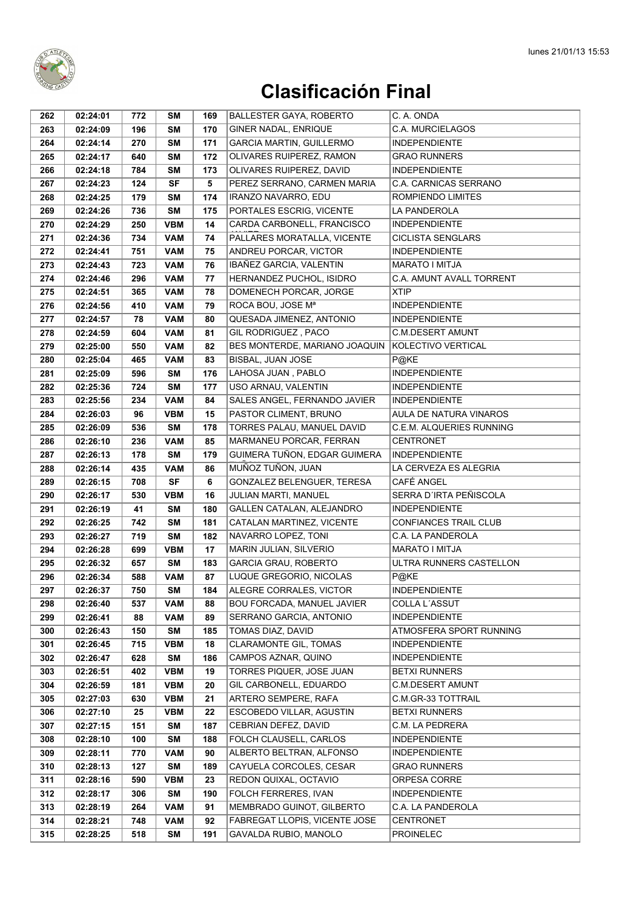

| 262 | 02:24:01 | 772 | SΜ         | 169 | <b>BALLESTER GAYA, ROBERTO</b>    | C. A. ONDA                   |
|-----|----------|-----|------------|-----|-----------------------------------|------------------------------|
| 263 | 02:24:09 | 196 | <b>SM</b>  | 170 | GINER NADAL, ENRIQUE              | <b>C.A. MURCIELAGOS</b>      |
| 264 | 02:24:14 | 270 | <b>SM</b>  | 171 | <b>GARCIA MARTIN, GUILLERMO</b>   | <b>INDEPENDIENTE</b>         |
| 265 | 02:24:17 | 640 | <b>SM</b>  | 172 | OLIVARES RUIPEREZ, RAMON          | <b>GRAO RUNNERS</b>          |
| 266 | 02:24:18 | 784 | SΜ         | 173 | OLIVARES RUIPEREZ, DAVID          | <b>INDEPENDIENTE</b>         |
| 267 | 02:24:23 | 124 | SF         | 5   | PEREZ SERRANO, CARMEN MARIA       | <b>C.A. CARNICAS SERRANO</b> |
| 268 | 02:24:25 | 179 | <b>SM</b>  | 174 | IRANZO NAVARRO, EDU               | ROMPIENDO LIMITES            |
| 269 | 02:24:26 | 736 | <b>SM</b>  | 175 | PORTALES ESCRIG, VICENTE          | LA PANDEROLA                 |
| 270 | 02:24:29 | 250 | <b>VBM</b> | 14  | CARDA CARBONELL, FRANCISCO        | <b>INDEPENDIENTE</b>         |
| 271 | 02:24:36 | 734 | <b>VAM</b> | 74  | PALLARES MORATALLA, VICENTE       | <b>CICLISTA SENGLARS</b>     |
| 272 | 02:24:41 | 751 | <b>VAM</b> | 75  | ANDREU PORCAR, VICTOR             | <b>INDEPENDIENTE</b>         |
| 273 | 02:24:43 | 723 | <b>VAM</b> | 76  | IBAÑEZ GARCIA, VALENTIN           | <b>MARATO I MITJA</b>        |
| 274 | 02:24:46 | 296 | <b>VAM</b> | 77  | HERNANDEZ PUCHOL, ISIDRO          | C.A. AMUNT AVALL TORRENT     |
| 275 | 02:24:51 | 365 | <b>VAM</b> | 78  | DOMENECH PORCAR, JORGE            | <b>XTIP</b>                  |
| 276 | 02:24:56 | 410 | <b>VAM</b> | 79  | ROCA BOU, JOSE M <sup>a</sup>     | <b>INDEPENDIENTE</b>         |
| 277 | 02:24:57 | 78  | <b>VAM</b> | 80  | QUESADA JIMENEZ, ANTONIO          | <b>INDEPENDIENTE</b>         |
| 278 | 02:24:59 | 604 | <b>VAM</b> | 81  | GIL RODRIGUEZ. PACO               | <b>C.M.DESERT AMUNT</b>      |
| 279 | 02:25:00 | 550 | <b>VAM</b> | 82  | BES MONTERDE, MARIANO JOAQUIN     | KOLECTIVO VERTICAL           |
| 280 | 02:25:04 | 465 | <b>VAM</b> | 83  | BISBAL, JUAN JOSE                 | P@KE                         |
| 281 | 02:25:09 | 596 | <b>SM</b>  | 176 | LAHOSA JUAN, PABLO                | <b>INDEPENDIENTE</b>         |
| 282 | 02:25:36 | 724 | <b>SM</b>  | 177 | USO ARNAU, VALENTIN               | <b>INDEPENDIENTE</b>         |
| 283 | 02:25:56 | 234 | <b>VAM</b> | 84  | SALES ANGEL, FERNANDO JAVIER      | <b>INDEPENDIENTE</b>         |
| 284 | 02:26:03 | 96  | <b>VBM</b> | 15  | PASTOR CLIMENT, BRUNO             | AULA DE NATURA VINAROS       |
| 285 | 02:26:09 | 536 | <b>SM</b>  | 178 | TORRES PALAU, MANUEL DAVID        | C.E.M. ALQUERIES RUNNING     |
| 286 | 02:26:10 | 236 | <b>VAM</b> | 85  | MARMANEU PORCAR, FERRAN           | <b>CENTRONET</b>             |
| 287 | 02:26:13 | 178 | SΜ         | 179 | GUIMERA TUÑON, EDGAR GUIMERA      | <b>INDEPENDIENTE</b>         |
| 288 | 02:26:14 | 435 | <b>VAM</b> | 86  | MUÑOZ TUÑON, JUAN                 | LA CERVEZA ES ALEGRIA        |
| 289 | 02:26:15 | 708 | SF         | 6   | GONZALEZ BELENGUER, TERESA        | CAFÉ ANGEL                   |
| 290 | 02:26:17 | 530 | <b>VBM</b> | 16  | JULIAN MARTI, MANUEL              | SERRA D'IRTA PEÑISCOLA       |
| 291 | 02:26:19 | 41  | <b>SM</b>  | 180 | <b>GALLEN CATALAN, ALEJANDRO</b>  | <b>INDEPENDIENTE</b>         |
| 292 | 02:26:25 | 742 | <b>SM</b>  | 181 | CATALAN MARTINEZ, VICENTE         | <b>CONFIANCES TRAIL CLUB</b> |
| 293 | 02:26:27 | 719 | <b>SM</b>  | 182 | NAVARRO LOPEZ. TONI               | C.A. LA PANDEROLA            |
| 294 | 02:26:28 | 699 | <b>VBM</b> | 17  | MARIN JULIAN, SILVERIO            | <b>MARATO I MITJA</b>        |
| 295 | 02:26:32 | 657 | <b>SM</b>  | 183 | <b>GARCIA GRAU, ROBERTO</b>       | ULTRA RUNNERS CASTELLON      |
| 296 | 02:26:34 | 588 | <b>VAM</b> | 87  | LUQUE GREGORIO, NICOLAS           | P@KE                         |
| 297 | 02:26:37 | 750 | SM         | 184 | ALEGRE CORRALES, VICTOR           | <b>INDEPENDIENTE</b>         |
| 298 | 02:26:40 | 537 | <b>VAM</b> | 88  | <b>BOU FORCADA, MANUEL JAVIER</b> | COLLA L'ASSUT                |
| 299 | 02:26:41 | 88  | <b>VAM</b> | 89  | SERRANO GARCIA, ANTONIO           | <b>INDEPENDIENTE</b>         |
| 300 | 02:26:43 | 150 | <b>SM</b>  | 185 | TOMAS DIAZ, DAVID                 | ATMOSFERA SPORT RUNNING      |
| 301 | 02:26:45 | 715 | <b>VBM</b> | 18  | CLARAMONTE GIL, TOMAS             | <b>INDEPENDIENTE</b>         |
| 302 | 02:26:47 | 628 | SΜ         | 186 | CAMPOS AZNAR, QUINO               | <b>INDEPENDIENTE</b>         |
| 303 | 02:26:51 | 402 | <b>VBM</b> | 19  | TORRES PIQUER, JOSE JUAN          | <b>BETXI RUNNERS</b>         |
| 304 | 02:26:59 | 181 | <b>VBM</b> | 20  | GIL CARBONELL, EDUARDO            | <b>C.M.DESERT AMUNT</b>      |
| 305 | 02:27:03 | 630 | <b>VBM</b> | 21  | ARTERO SEMPERE, RAFA              | C.M.GR-33 TOTTRAIL           |
| 306 | 02:27:10 | 25  | <b>VBM</b> | 22  | ESCOBEDO VILLAR, AGUSTIN          | <b>BETXI RUNNERS</b>         |
| 307 | 02:27:15 | 151 | <b>SM</b>  | 187 | CEBRIAN DEFEZ, DAVID              | C.M. LA PEDRERA              |
| 308 | 02:28:10 | 100 | SΜ         | 188 | FOLCH CLAUSELL, CARLOS            | <b>INDEPENDIENTE</b>         |
| 309 | 02:28:11 | 770 | VAM        | 90  | ALBERTO BELTRAN, ALFONSO          | <b>INDEPENDIENTE</b>         |
| 310 | 02:28:13 | 127 | <b>SM</b>  | 189 | CAYUELA CORCOLES, CESAR           | <b>GRAO RUNNERS</b>          |
| 311 | 02:28:16 | 590 | <b>VBM</b> | 23  | REDON QUIXAL, OCTAVIO             | ORPESA CORRE                 |
| 312 | 02:28:17 | 306 | <b>SM</b>  | 190 | FOLCH FERRERES, IVAN              | <b>INDEPENDIENTE</b>         |
| 313 | 02:28:19 | 264 | <b>VAM</b> | 91  | MEMBRADO GUINOT, GILBERTO         | C.A. LA PANDEROLA            |
| 314 | 02:28:21 | 748 | <b>VAM</b> | 92  | FABREGAT LLOPIS, VICENTE JOSE     | <b>CENTRONET</b>             |
| 315 | 02:28:25 | 518 | <b>SM</b>  | 191 | GAVALDA RUBIO, MANOLO             | <b>PROINELEC</b>             |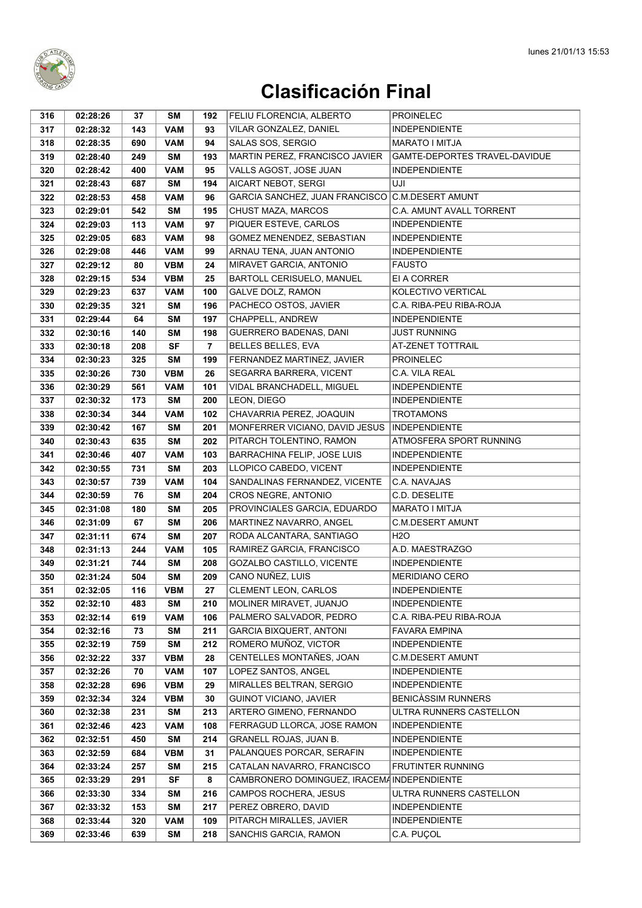

| 316        | 02:28:26             | 37         | SΜ                       | 192            | FELIU FLORENCIA, ALBERTO                                  | <b>PROINELEC</b>                                  |
|------------|----------------------|------------|--------------------------|----------------|-----------------------------------------------------------|---------------------------------------------------|
| 317        | 02:28:32             | 143        | <b>VAM</b>               | 93             | VILAR GONZALEZ, DANIEL                                    | <b>INDEPENDIENTE</b>                              |
| 318        | 02:28:35             | 690        | <b>VAM</b>               | 94             | SALAS SOS, SERGIO                                         | <b>MARATO I MITJA</b>                             |
| 319        | 02:28:40             | 249        | SΜ                       | 193            | MARTIN PEREZ, FRANCISCO JAVIER                            | GAMTE-DEPORTES TRAVEL-DAVIDUE                     |
| 320        | 02:28:42             | 400        | <b>VAM</b>               | 95             | VALLS AGOST, JOSE JUAN                                    | <b>INDEPENDIENTE</b>                              |
| 321        | 02:28:43             | 687        | <b>SM</b>                | 194            | AICART NEBOT, SERGI                                       | UJI                                               |
| 322        | 02:28:53             | 458        | <b>VAM</b>               | 96             | GARCIA SANCHEZ, JUAN FRANCISCO C.M.DESERT AMUNT           |                                                   |
| 323        | 02:29:01             | 542        | SΜ                       | 195            | CHUST MAZA, MARCOS                                        | <b>C.A. AMUNT AVALL TORRENT</b>                   |
| 324        | 02:29:03             | 113        | <b>VAM</b>               | 97             | PIQUER ESTEVE, CARLOS                                     | <b>INDEPENDIENTE</b>                              |
| 325        | 02:29:05             | 683        | <b>VAM</b>               | 98             | GOMEZ MENENDEZ, SEBASTIAN                                 | <b>INDEPENDIENTE</b>                              |
| 326        | 02:29:08             | 446        | <b>VAM</b>               | 99             | ARNAU TENA, JUAN ANTONIO                                  | <b>INDEPENDIENTE</b>                              |
| 327        | 02:29:12             | 80         | <b>VBM</b>               | 24             | MIRAVET GARCIA, ANTONIO                                   | <b>FAUSTO</b>                                     |
| 328        | 02:29:15             | 534        | <b>VBM</b>               | 25             | BARTOLL CERISUELO, MANUEL                                 | EI A CORRER                                       |
| 329        | 02:29:23             | 637        | <b>VAM</b>               | 100            | GALVE DOLZ, RAMON                                         | KOLECTIVO VERTICAL                                |
| 330        | 02:29:35             | 321        | SΜ                       | 196            | PACHECO OSTOS, JAVIER                                     | C.A. RIBA-PEU RIBA-ROJA                           |
| 331        | 02:29:44             | 64         | <b>SM</b>                | 197            | CHAPPELL, ANDREW                                          | <b>INDEPENDIENTE</b>                              |
| 332        | 02:30:16             | 140        | <b>SM</b>                | 198            | GUERRERO BADENAS, DANI                                    | <b>JUST RUNNING</b>                               |
| 333        | 02:30:18             | 208        | SF                       | $\overline{7}$ | <b>BELLES BELLES, EVA</b>                                 | AT-ZENET TOTTRAIL                                 |
| 334        | 02:30:23             | 325        | <b>SM</b>                | 199            | FERNANDEZ MARTINEZ, JAVIER                                | <b>PROINELEC</b>                                  |
| 335        | 02:30:26             | 730        | <b>VBM</b>               | 26             | SEGARRA BARRERA, VICENT                                   | C.A. VILA REAL                                    |
| 336        | 02:30:29             | 561        | <b>VAM</b>               | 101            | VIDAL BRANCHADELL, MIGUEL                                 | <b>INDEPENDIENTE</b>                              |
| 337        | 02:30:32             | 173        | <b>SM</b>                | 200            | LEON, DIEGO                                               | <b>INDEPENDIENTE</b>                              |
| 338        | 02:30:34             | 344        | <b>VAM</b>               | 102            | CHAVARRIA PEREZ, JOAQUIN                                  | <b>TROTAMONS</b>                                  |
| 339        | 02:30:42             | 167        | <b>SM</b>                | 201            | MONFERRER VICIANO, DAVID JESUS                            | <b>INDEPENDIENTE</b>                              |
| 340        | 02:30:43             | 635        | <b>SM</b>                | 202            | PITARCH TOLENTINO, RAMON                                  | ATMOSFERA SPORT RUNNING                           |
| 341        | 02:30:46             | 407        | <b>VAM</b>               | 103            | BARRACHINA FELIP, JOSE LUIS                               | <b>INDEPENDIENTE</b>                              |
| 342        | 02:30:55             | 731        | SΜ                       | 203            | LLOPICO CABEDO, VICENT                                    | <b>INDEPENDIENTE</b>                              |
| 343        | 02:30:57             | 739        | VAM                      | 104            | SANDALINAS FERNANDEZ, VICENTE                             | C.A. NAVAJAS                                      |
| 344        | 02:30:59             | 76         | SΜ                       | 204            | CROS NEGRE, ANTONIO                                       | C.D. DESELITE                                     |
| 345        | 02:31:08             | 180        | <b>SM</b>                | 205            | PROVINCIALES GARCIA, EDUARDO                              | MARATO I MITJA                                    |
| 346        | 02:31:09             | 67         | <b>SM</b>                | 206            | MARTINEZ NAVARRO, ANGEL                                   | <b>C.M.DESERT AMUNT</b>                           |
| 347        | 02:31:11             | 674        | <b>SM</b>                | 207            | RODA ALCANTARA, SANTIAGO                                  | H <sub>2</sub> O                                  |
| 348        | 02:31:13             | 244        | <b>VAM</b>               | 105            | RAMIREZ GARCIA, FRANCISCO                                 | A.D. MAESTRAZGO                                   |
| 349        | 02:31:21             | 744        | <b>SM</b>                | 208            | GOZALBO CASTILLO, VICENTE                                 | <b>INDEPENDIENTE</b>                              |
| 350        | 02:31:24             | 504        | <b>SM</b>                | 209            | CANO NUÑEZ, LUIS                                          | <b>MERIDIANO CERO</b>                             |
| 351        | 02:32:05             | 116        | <b>VBM</b>               | 27             | CLEMENT LEON, CARLOS                                      | INDEPENDIENTE                                     |
| 352        | 02:32:10             | 483        | SΜ                       | 210            | MOLINER MIRAVET, JUANJO                                   | <b>INDEPENDIENTE</b>                              |
| 353        | 02:32:14             | 619        | VAM                      | 106            | PALMERO SALVADOR, PEDRO                                   | C.A. RIBA-PEU RIBA-ROJA                           |
| 354        | 02:32:16             | 73         | SΜ                       | 211            | <b>GARCIA BIXQUERT, ANTONI</b>                            | <b>FAVARA EMPINA</b>                              |
| 355        | 02:32:19             | 759        | <b>SM</b>                | 212            | ROMERO MUÑOZ, VICTOR                                      | <b>INDEPENDIENTE</b>                              |
| 356        | 02:32:22             | 337        | <b>VBM</b>               | 28             | CENTELLES MONTAÑES, JOAN                                  | <b>C.M.DESERT AMUNT</b>                           |
| 357        | 02:32:26             | 70         | <b>VAM</b>               | 107            | LOPEZ SANTOS, ANGEL                                       | <b>INDEPENDIENTE</b>                              |
| 358        | 02:32:28<br>02:32:34 | 696        | <b>VBM</b><br><b>VBM</b> | 29             | MIRALLES BELTRAN, SERGIO<br><b>GUINOT VICIANO, JAVIER</b> | <b>INDEPENDIENTE</b><br><b>BENICASSIM RUNNERS</b> |
| 359<br>360 | 02:32:38             | 324<br>231 | <b>SM</b>                | 30<br>213      | ARTERO GIMENO, FERNANDO                                   | ULTRA RUNNERS CASTELLON                           |
| 361        | 02:32:46             | 423        | <b>VAM</b>               | 108            | FERRAGUD LLORCA, JOSE RAMON                               | <b>INDEPENDIENTE</b>                              |
| 362        | 02:32:51             | 450        | SΜ                       | 214            | GRANELL ROJAS, JUAN B.                                    | <b>INDEPENDIENTE</b>                              |
| 363        | 02:32:59             | 684        | <b>VBM</b>               | 31             | PALANQUES PORCAR, SERAFIN                                 | <b>INDEPENDIENTE</b>                              |
| 364        | 02:33:24             | 257        | <b>SM</b>                | 215            | CATALAN NAVARRO, FRANCISCO                                | <b>FRUTINTER RUNNING</b>                          |
| 365        | 02:33:29             | 291        | <b>SF</b>                | 8              | CAMBRONERO DOMINGUEZ, IRACEMA INDEPENDIENTE               |                                                   |
| 366        | 02:33:30             | 334        | <b>SM</b>                | 216            | CAMPOS ROCHERA, JESUS                                     | ULTRA RUNNERS CASTELLON                           |
| 367        | 02:33:32             | 153        | <b>SM</b>                | 217            | PEREZ OBRERO, DAVID                                       | <b>INDEPENDIENTE</b>                              |
| 368        | 02:33:44             | 320        | <b>VAM</b>               | 109            | PITARCH MIRALLES, JAVIER                                  | <b>INDEPENDIENTE</b>                              |
| 369        | 02:33:46             | 639        | <b>SM</b>                | 218            | SANCHIS GARCIA, RAMON                                     | C.A. PUÇOL                                        |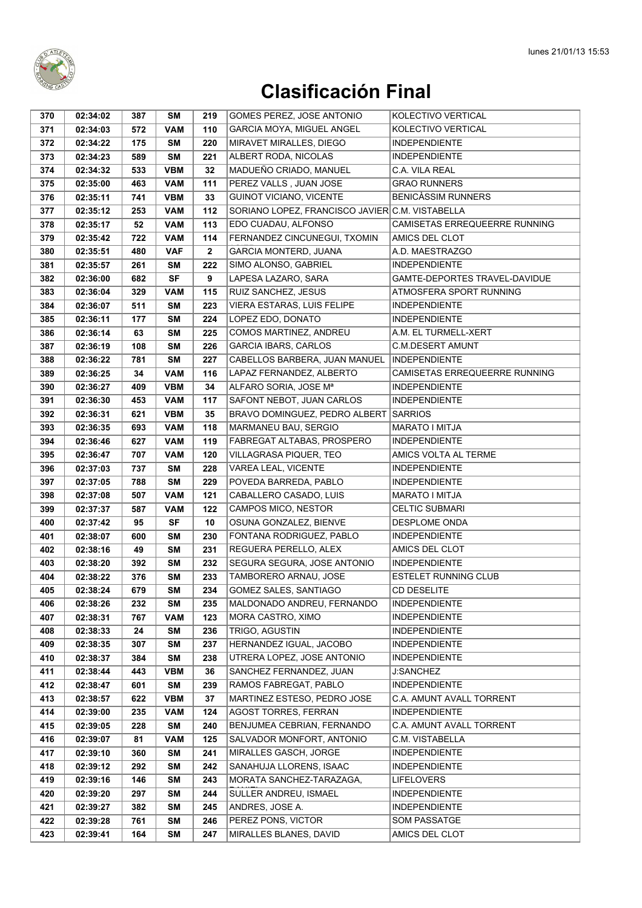

| 370        | 02:34:02             | 387        | SM         | 219        | GOMES PEREZ, JOSE ANTONIO                                  | KOLECTIVO VERTICAL                        |
|------------|----------------------|------------|------------|------------|------------------------------------------------------------|-------------------------------------------|
| 371        | 02:34:03             | 572        | <b>VAM</b> | 110        | <b>GARCIA MOYA, MIGUEL ANGEL</b>                           | KOLECTIVO VERTICAL                        |
| 372        | 02:34:22             | 175        | <b>SM</b>  | 220        | MIRAVET MIRALLES, DIEGO                                    | <b>INDEPENDIENTE</b>                      |
| 373        | 02:34:23             | 589        | <b>SM</b>  | 221        | ALBERT RODA, NICOLAS                                       | <b>INDEPENDIENTE</b>                      |
| 374        | 02:34:32             | 533        | <b>VBM</b> | 32         | MADUEÑO CRIADO, MANUEL                                     | C.A. VILA REAL                            |
| 375        | 02:35:00             | 463        | <b>VAM</b> | 111        | PEREZ VALLS, JUAN JOSE                                     | <b>GRAO RUNNERS</b>                       |
| 376        | 02:35:11             | 741        | <b>VBM</b> | 33         | <b>GUINOT VICIANO, VICENTE</b>                             | <b>BENICÀSSIM RUNNERS</b>                 |
| 377        | 02:35:12             | 253        | <b>VAM</b> | 112        | SORIANO LOPEZ, FRANCISCO JAVIER C.M. VISTABELLA            |                                           |
| 378        | 02:35:17             | 52         | <b>VAM</b> | 113        | EDO CUADAU, ALFONSO                                        | CAMISETAS ERREQUEERRE RUNNING             |
| 379        | 02:35:42             | 722        | <b>VAM</b> | 114        | FERNANDEZ CINCUNEGUI, TXOMIN                               | AMICS DEL CLOT                            |
| 380        | 02:35:51             | 480        | <b>VAF</b> | 2          | <b>GARCIA MONTERD, JUANA</b>                               | A.D. MAESTRAZGO                           |
| 381        | 02:35:57             | 261        | <b>SM</b>  | 222        | SIMO ALONSO, GABRIEL                                       | <b>INDEPENDIENTE</b>                      |
| 382        | 02:36:00             | 682        | <b>SF</b>  | 9          | LAPESA LAZARO, SARA                                        | GAMTE-DEPORTES TRAVEL-DAVIDUE             |
| 383        | 02:36:04             | 329        | <b>VAM</b> | 115        | RUIZ SANCHEZ, JESUS                                        | ATMOSFERA SPORT RUNNING                   |
| 384        | 02:36:07             | 511        | SM         | 223        | VIERA ESTARAS, LUIS FELIPE                                 | <b>INDEPENDIENTE</b>                      |
| 385        | 02:36:11             | 177        | <b>SM</b>  | 224        | LOPEZ EDO, DONATO                                          | <b>INDEPENDIENTE</b>                      |
| 386        | 02:36:14             | 63         | <b>SM</b>  | 225        | COMOS MARTINEZ, ANDREU                                     | A.M. EL TURMELL-XERT                      |
| 387        | 02:36:19             | 108        | <b>SM</b>  | 226        | <b>GARCIA IBARS, CARLOS</b>                                | C.M.DESERT AMUNT                          |
| 388        | 02:36:22             | 781        | <b>SM</b>  | 227        | CABELLOS BARBERA, JUAN MANUEL                              | <b>INDEPENDIENTE</b>                      |
| 389        | 02:36:25             | 34         | <b>VAM</b> | 116        | LAPAZ FERNANDEZ, ALBERTO                                   | CAMISETAS ERREQUEERRE RUNNING             |
| 390        | 02:36:27             | 409        | <b>VBM</b> | 34         | ALFARO SORIA, JOSE Mª                                      | <b>INDEPENDIENTE</b>                      |
| 391        | 02:36:30             | 453        | <b>VAM</b> | 117        | SAFONT NEBOT, JUAN CARLOS                                  | <b>INDEPENDIENTE</b>                      |
| 392        | 02:36:31             | 621        | <b>VBM</b> | 35         | <b>BRAVO DOMINGUEZ, PEDRO ALBERT</b>                       | <b>SARRIOS</b>                            |
| 393        | 02:36:35             | 693        | <b>VAM</b> | 118        | MARMANEU BAU, SERGIO                                       | MARATO I MITJA                            |
| 394        | 02:36:46             | 627        | <b>VAM</b> | 119        | FABREGAT ALTABAS, PROSPERO                                 | <b>INDEPENDIENTE</b>                      |
| 395        | 02:36:47             | 707        | <b>VAM</b> | 120        | VILLAGRASA PIQUER, TEO                                     | AMICS VOLTA AL TERME                      |
| 396        | 02:37:03             | 737        | SΜ         | 228        | VAREA LEAL, VICENTE                                        | <b>INDEPENDIENTE</b>                      |
| 397        | 02:37:05             | 788        | <b>SM</b>  | 229        | POVEDA BARREDA, PABLO                                      | <b>INDEPENDIENTE</b>                      |
| 398        | 02:37:08             | 507        | <b>VAM</b> | 121        | CABALLERO CASADO, LUIS                                     | MARATO I MITJA                            |
| 399        | 02:37:37             | 587        | <b>VAM</b> | 122        | CAMPOS MICO, NESTOR                                        | <b>CELTIC SUBMARI</b>                     |
| 400        | 02:37:42             | 95         | SF         | 10         | OSUNA GONZALEZ, BIENVE                                     | DESPLOME ONDA                             |
| 401        | 02:38:07             | 600        | <b>SM</b>  | 230        | FONTANA RODRIGUEZ, PABLO                                   | <b>INDEPENDIENTE</b>                      |
| 402        | 02:38:16             | 49         | <b>SM</b>  | 231        | REGUERA PERELLO, ALEX                                      | AMICS DEL CLOT                            |
| 403        | 02:38:20             | 392        | <b>SM</b>  | 232        | SEGURA SEGURA, JOSE ANTONIO                                | <b>INDEPENDIENTE</b>                      |
| 404        | 02:38:22             | 376        | SM         | 233        | TAMBORERO ARNAU, JOSE                                      | <b>ESTELET RUNNING CLUB</b>               |
| 405        | 02:38:24             | 679        | SM         | 234        | GOMEZ SALES, SANTIAGO                                      | CD DESELITE                               |
| 406        | 02:38:26             | 232        | SM         | 235        | MALDONADO ANDREU, FERNANDO                                 | <b>INDEPENDIENTE</b>                      |
| 407        | 02:38:31             | 767        | <b>VAM</b> | 123        | MORA CASTRO, XIMO                                          | <b>INDEPENDIENTE</b>                      |
| 408        | 02:38:33             | 24         | SM         | 236        | TRIGO, AGUSTIN                                             | <b>INDEPENDIENTE</b>                      |
| 409        | 02:38:35             | 307        | SM         | 237        | HERNANDEZ IGUAL, JACOBO                                    | INDEPENDIENTE                             |
| 410        | 02:38:37             | 384        | SM         | 238        | UTRERA LOPEZ, JOSE ANTONIO                                 | <b>INDEPENDIENTE</b>                      |
| 411        | 02:38:44             | 443        | <b>VBM</b> | 36         | SANCHEZ FERNANDEZ, JUAN                                    | <b>J:SANCHEZ</b>                          |
| 412        | 02:38:47             | 601        | SM         | 239        | RAMOS FABREGAT, PABLO                                      | <b>INDEPENDIENTE</b>                      |
| 413        | 02:38:57             | 622        | <b>VBM</b> | 37         | MARTINEZ ESTESO, PEDRO JOSE<br><b>AGOST TORRES, FERRAN</b> | C.A. AMUNT AVALL TORRENT                  |
| 414        | 02:39:00             | 235        | <b>VAM</b> | 124        |                                                            | <b>INDEPENDIENTE</b>                      |
| 415        | 02:39:05             | 228        | SM         | 240        | BENJUMEA CEBRIAN, FERNANDO                                 | C.A. AMUNT AVALL TORRENT                  |
| 416        | 02:39:07             | 81         | <b>VAM</b> | 125<br>241 | SALVADOR MONFORT, ANTONIO                                  | C.M. VISTABELLA                           |
| 417        | 02:39:10             | 360        | SM         |            | MIRALLES GASCH, JORGE                                      | <b>INDEPENDIENTE</b>                      |
| 418        | 02:39:12             | 292        | SM         | 242<br>243 | SANAHUJA LLORENS, ISAAC<br>MORATA SANCHEZ-TARAZAGA,        | <b>INDEPENDIENTE</b>                      |
| 419<br>420 | 02:39:16<br>02:39:20 | 146<br>297 | SM<br>SM   | 244        | SULLER ANDREU, ISMAEL                                      | <b>LIFELOVERS</b><br><b>INDEPENDIENTE</b> |
| 421        | 02:39:27             | 382        | SM         | 245        | ANDRES, JOSE A.                                            | <b>INDEPENDIENTE</b>                      |
| 422        | 02:39:28             | 761        | SM         | 246        | PEREZ PONS, VICTOR                                         | SOM PASSATGE                              |
| 423        | 02:39:41             | 164        | SM         | 247        | MIRALLES BLANES, DAVID                                     | AMICS DEL CLOT                            |
|            |                      |            |            |            |                                                            |                                           |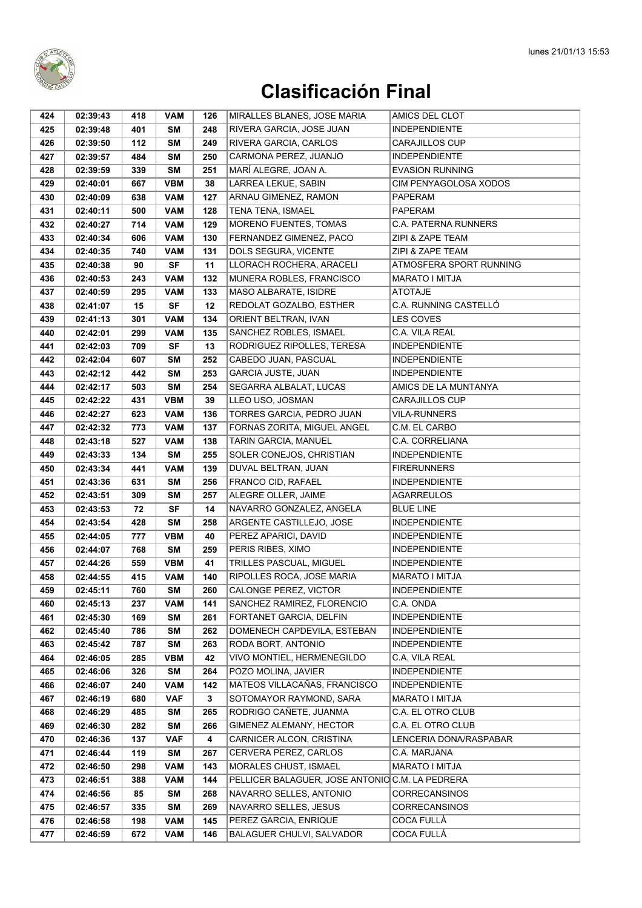

| 424 | 02:39:43 | 418 | VAM        | 126 | MIRALLES BLANES, JOSE MARIA                     | AMICS DEL CLOT          |
|-----|----------|-----|------------|-----|-------------------------------------------------|-------------------------|
| 425 | 02:39:48 | 401 | <b>SM</b>  | 248 | RIVERA GARCIA, JOSE JUAN                        | <b>INDEPENDIENTE</b>    |
| 426 | 02:39:50 | 112 | SM         | 249 | RIVERA GARCIA, CARLOS                           | <b>CARAJILLOS CUP</b>   |
| 427 | 02:39:57 | 484 | SM         | 250 | CARMONA PEREZ, JUANJO                           | <b>INDEPENDIENTE</b>    |
| 428 | 02:39:59 | 339 | SM         | 251 | MARÍ ALEGRE, JOAN A.                            | <b>EVASION RUNNING</b>  |
| 429 | 02:40:01 | 667 | <b>VBM</b> | 38  | LARREA LEKUE, SABIN                             | CIM PENYAGOLOSA XODOS   |
| 430 | 02:40:09 | 638 | <b>VAM</b> | 127 | ARNAU GIMENEZ, RAMON                            | PAPERAM                 |
| 431 | 02:40:11 | 500 | <b>VAM</b> | 128 | TENA TENA, ISMAEL                               | PAPERAM                 |
| 432 | 02:40:27 | 714 | <b>VAM</b> | 129 | MORENO FUENTES, TOMAS                           | C.A. PATERNA RUNNERS    |
| 433 | 02:40:34 | 606 | <b>VAM</b> | 130 | FERNANDEZ GIMENEZ, PACO                         | ZIPI & ZAPE TEAM        |
| 434 | 02:40:35 | 740 | VAM        | 131 | DOLS SEGURA, VICENTE                            | ZIPI & ZAPE TEAM        |
| 435 | 02:40:38 | 90  | <b>SF</b>  | 11  | LLORACH ROCHERA, ARACELI                        | ATMOSFERA SPORT RUNNING |
| 436 | 02:40:53 | 243 | VAM        | 132 | MUNERA ROBLES, FRANCISCO                        | <b>MARATO I MITJA</b>   |
| 437 | 02:40:59 | 295 | <b>VAM</b> | 133 | <b>MASO ALBARATE, ISIDRE</b>                    | <b>ATOTAJE</b>          |
| 438 | 02:41:07 | 15  | SF         | 12  | REDOLAT GOZALBO, ESTHER                         | C.A. RUNNING CASTELLÓ   |
| 439 | 02:41:13 | 301 | <b>VAM</b> | 134 | ORIENT BELTRAN, IVAN                            | <b>LES COVES</b>        |
| 440 | 02:42:01 | 299 | <b>VAM</b> | 135 | SANCHEZ ROBLES, ISMAEL                          | C.A. VILA REAL          |
| 441 | 02:42:03 | 709 | <b>SF</b>  | 13  | RODRIGUEZ RIPOLLES, TERESA                      | <b>INDEPENDIENTE</b>    |
| 442 | 02:42:04 | 607 | SM         | 252 | CABEDO JUAN, PASCUAL                            | <b>INDEPENDIENTE</b>    |
| 443 | 02:42:12 | 442 | <b>SM</b>  | 253 | GARCIA JUSTE, JUAN                              | <b>INDEPENDIENTE</b>    |
| 444 | 02:42:17 | 503 | <b>SM</b>  | 254 | SEGARRA ALBALAT, LUCAS                          | AMICS DE LA MUNTANYA    |
| 445 | 02:42:22 | 431 | <b>VBM</b> | 39  | LLEO USO, JOSMAN                                | <b>CARAJILLOS CUP</b>   |
| 446 | 02:42:27 | 623 | <b>VAM</b> | 136 | TORRES GARCIA, PEDRO JUAN                       | <b>VILA-RUNNERS</b>     |
|     |          |     | <b>VAM</b> | 137 | FORNAS ZORITA, MIGUEL ANGEL                     | C.M. EL CARBO           |
| 447 | 02:42:32 | 773 | <b>VAM</b> | 138 |                                                 | C.A. CORRELIANA         |
| 448 | 02:43:18 | 527 |            |     | TARIN GARCIA, MANUEL                            |                         |
| 449 | 02:43:33 | 134 | SM         | 255 | SOLER CONEJOS, CHRISTIAN                        | <b>INDEPENDIENTE</b>    |
| 450 | 02:43:34 | 441 | VAM        | 139 | DUVAL BELTRAN, JUAN                             | <b>FIRERUNNERS</b>      |
| 451 | 02:43:36 | 631 | SM         | 256 | FRANCO CID, RAFAEL                              | <b>INDEPENDIENTE</b>    |
| 452 | 02:43:51 | 309 | SM         | 257 | ALEGRE OLLER, JAIME                             | AGARREULOS              |
| 453 | 02:43:53 | 72  | SF         | 14  | NAVARRO GONZALEZ, ANGELA                        | <b>BLUE LINE</b>        |
| 454 | 02:43:54 | 428 | <b>SM</b>  | 258 | ARGENTE CASTILLEJO, JOSE                        | <b>INDEPENDIENTE</b>    |
| 455 | 02:44:05 | 777 | <b>VBM</b> | 40  | PEREZ APARICI, DAVID                            | <b>INDEPENDIENTE</b>    |
| 456 | 02:44:07 | 768 | <b>SM</b>  | 259 | PERIS RIBES, XIMO                               | <b>INDEPENDIENTE</b>    |
| 457 | 02:44:26 | 559 | <b>VBM</b> | 41  | TRILLES PASCUAL, MIGUEL                         | <b>INDEPENDIENTE</b>    |
| 458 | 02:44:55 | 415 | <b>VAM</b> | 140 | RIPOLLES ROCA, JOSE MARIA                       | <b>MARATO I MITJA</b>   |
| 459 | 02:45:11 | 760 | <b>SM</b>  | 260 | CALONGE PEREZ, VICTOR                           | <b>INDEPENDIENTE</b>    |
| 460 | 02:45:13 | 237 | VAM        | 141 | SANCHEZ RAMIREZ, FLORENCIO                      | C.A. ONDA               |
| 461 | 02:45:30 | 169 | SM         | 261 | FORTANET GARCIA, DELFIN                         | <b>INDEPENDIENTE</b>    |
| 462 | 02:45:40 | 786 | SM         | 262 | DOMENECH CAPDEVILA, ESTEBAN                     | <b>INDEPENDIENTE</b>    |
| 463 | 02:45:42 | 787 | SM         | 263 | RODA BORT, ANTONIO                              | <b>INDEPENDIENTE</b>    |
| 464 | 02:46:05 | 285 | VBM        | 42  | VIVO MONTIEL, HERMENEGILDO                      | C.A. VILA REAL          |
| 465 | 02:46:06 | 326 | SM         | 264 | POZO MOLINA, JAVIER                             | <b>INDEPENDIENTE</b>    |
| 466 | 02:46:07 | 240 | VAM        | 142 | MATEOS VILLACAÑAS, FRANCISCO                    | <b>INDEPENDIENTE</b>    |
| 467 | 02:46:19 | 680 | <b>VAF</b> | 3   | SOTOMAYOR RAYMOND, SARA                         | MARATO I MITJA          |
| 468 | 02:46:29 | 485 | SM         | 265 | RODRIGO CAÑETE, JUANMA                          | C.A. EL OTRO CLUB       |
| 469 | 02:46:30 | 282 | SM         | 266 | GIMENEZ ALEMANY, HECTOR                         | C.A. EL OTRO CLUB       |
| 470 | 02:46:36 | 137 | <b>VAF</b> | 4   | CARNICER ALCON, CRISTINA                        | LENCERIA DONA/RASPABAR  |
| 471 | 02:46:44 | 119 | SM         | 267 | CERVERA PEREZ, CARLOS                           | C.A. MARJANA            |
| 472 | 02:46:50 | 298 | VAM        | 143 | MORALES CHUST, ISMAEL                           | MARATO I MITJA          |
| 473 | 02:46:51 | 388 | VAM        | 144 | PELLICER BALAGUER, JOSE ANTONIO C.M. LA PEDRERA |                         |
| 474 | 02:46:56 | 85  | SM         | 268 | NAVARRO SELLES, ANTONIO                         | CORRECANSINOS           |
| 475 | 02:46:57 | 335 | SM         | 269 | NAVARRO SELLES, JESUS                           | <b>CORRECANSINOS</b>    |
| 476 | 02:46:58 | 198 | <b>VAM</b> | 145 | PEREZ GARCIA, ENRIQUE                           | COCA FULLÀ              |
| 477 | 02:46:59 | 672 | <b>VAM</b> | 146 | <b>BALAGUER CHULVI, SALVADOR</b>                | COCA FULLÀ              |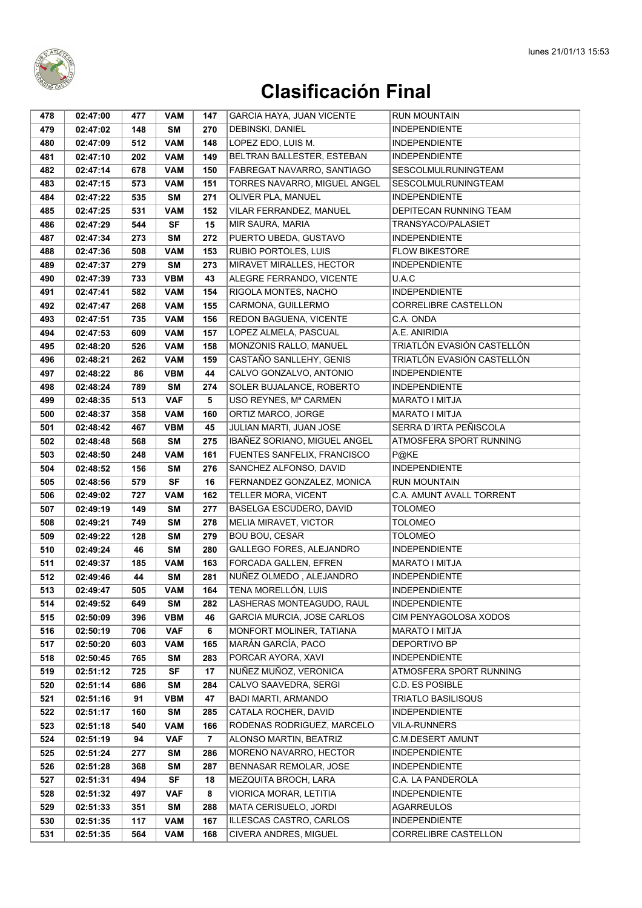

| 478        | 02:47:00             | 477        | <b>VAM</b>              | 147                   | GARCIA HAYA, JUAN VICENTE                          | <b>RUN MOUNTAIN</b>                          |
|------------|----------------------|------------|-------------------------|-----------------------|----------------------------------------------------|----------------------------------------------|
| 479        | 02:47:02             | 148        | <b>SM</b>               | 270                   | DEBINSKI, DANIEL                                   | <b>INDEPENDIENTE</b>                         |
| 480        | 02:47:09             | 512        | <b>VAM</b>              | 148                   | LOPEZ EDO, LUIS M.                                 | <b>INDEPENDIENTE</b>                         |
| 481        | 02:47:10             | 202        | <b>VAM</b>              | 149                   | BELTRAN BALLESTER, ESTEBAN                         | <b>INDEPENDIENTE</b>                         |
| 482        | 02:47:14             | 678        | <b>VAM</b>              | 150                   | FABREGAT NAVARRO, SANTIAGO                         | SESCOLMULRUNINGTEAM                          |
| 483        | 02:47:15             | 573        | <b>VAM</b>              | 151                   | TORRES NAVARRO, MIGUEL ANGEL                       | SESCOLMULRUNINGTEAM                          |
| 484        | 02:47:22             | 535        | <b>SM</b>               | 271                   | OLIVER PLA, MANUEL                                 | <b>INDEPENDIENTE</b>                         |
| 485        | 02:47:25             | 531        | <b>VAM</b>              | 152                   | VILAR FERRANDEZ, MANUEL                            | DEPITECAN RUNNING TEAM                       |
| 486        | 02:47:29             | 544        | SF                      | 15                    | MIR SAURA, MARIA                                   | TRANSYACO/PALASIET                           |
| 487        | 02:47:34             | 273        | <b>SM</b>               | 272                   | PUERTO UBEDA, GUSTAVO                              | <b>INDEPENDIENTE</b>                         |
| 488        | 02:47:36             | 508        | <b>VAM</b>              | 153                   | RUBIO PORTOLES, LUIS                               | <b>FLOW BIKESTORE</b>                        |
| 489        | 02:47:37             | 279        | <b>SM</b>               | 273                   | MIRAVET MIRALLES, HECTOR                           | <b>INDEPENDIENTE</b>                         |
| 490        | 02:47:39             | 733        | <b>VBM</b>              | 43                    | ALEGRE FERRANDO, VICENTE                           | U.A.C                                        |
| 491        | 02:47:41             | 582        | <b>VAM</b>              | 154                   | RIGOLA MONTES, NACHO                               | <b>INDEPENDIENTE</b>                         |
| 492        | 02:47:47             | 268        | <b>VAM</b>              | 155                   | CARMONA, GUILLERMO                                 | CORRELIBRE CASTELLON                         |
| 493        | 02:47:51             | 735        | <b>VAM</b>              | 156                   | REDON BAGUENA, VICENTE                             | C.A. ONDA                                    |
| 494        | 02:47:53             | 609        | <b>VAM</b>              | 157                   | LOPEZ ALMELA, PASCUAL                              | A.E. ANIRIDIA                                |
| 495        | 02:48:20             | 526        | <b>VAM</b>              | 158                   | MONZONIS RALLO, MANUEL                             | TRIATLÓN EVASIÓN CASTELLÓN                   |
| 496        | 02:48:21             | 262        | <b>VAM</b>              | 159                   | CASTAÑO SANLLEHY, GENIS                            | TRIATLÓN EVASIÓN CASTELLÓN                   |
| 497        | 02:48:22             | 86         | <b>VBM</b>              | 44                    | CALVO GONZALVO, ANTONIO                            | <b>INDEPENDIENTE</b>                         |
| 498        | 02:48:24             | 789        | <b>SM</b>               | 274                   | SOLER BUJALANCE, ROBERTO                           | <b>INDEPENDIENTE</b>                         |
| 499        | 02:48:35             | 513        | <b>VAF</b>              | 5                     | USO REYNES, Mª CARMEN                              | <b>MARATO I MITJA</b>                        |
| 500        | 02:48:37             | 358        | <b>VAM</b>              | 160                   | ORTIZ MARCO, JORGE                                 | <b>MARATO I MITJA</b>                        |
| 501        | 02:48:42             | 467        | <b>VBM</b>              | 45                    | JULIAN MARTI, JUAN JOSE                            | SERRA D'IRTA PEÑISCOLA                       |
| 502        | 02:48:48             | 568        | <b>SM</b>               | 275                   | IBAÑEZ SORIANO, MIGUEL ANGEL                       | ATMOSFERA SPORT RUNNING                      |
| 503        | 02:48:50             | 248        | <b>VAM</b>              | 161                   | FUENTES SANFELIX, FRANCISCO                        | P@KE                                         |
| 504        | 02:48:52             | 156        | SΜ                      | 276                   | SANCHEZ ALFONSO, DAVID                             | <b>INDEPENDIENTE</b>                         |
| 505        | 02:48:56             | 579        | <b>SF</b>               | 16                    | FERNANDEZ GONZALEZ, MONICA                         | RUN MOUNTAIN                                 |
| 506        | 02:49:02             | 727        | <b>VAM</b>              | 162                   | TELLER MORA, VICENT                                | C.A. AMUNT AVALL TORRENT                     |
| 507        | 02:49:19             | 149        | <b>SM</b>               | 277                   | BASELGA ESCUDERO, DAVID                            | <b>TOLOMEO</b>                               |
| 508        | 02:49:21             | 749        | <b>SM</b>               | 278                   | MELIA MIRAVET, VICTOR                              | <b>TOLOMEO</b>                               |
| 509        | 02:49:22             | 128        | <b>SM</b>               | 279                   | <b>BOU BOU, CESAR</b>                              | <b>TOLOMEO</b>                               |
| 510        | 02:49:24             | 46         | <b>SM</b>               | 280                   | GALLEGO FORES, ALEJANDRO                           | <b>INDEPENDIENTE</b>                         |
| 511        | 02:49:37             | 185        | <b>VAM</b>              | 163                   | FORCADA GALLEN, EFREN                              | MARATO I MITJA                               |
| 512        | 02:49:46             | 44         | <b>SM</b>               | 281                   | NUÑEZ OLMEDO, ALEJANDRO                            | <b>INDEPENDIENTE</b>                         |
| 513        | 02:49:47             | 505        | <b>VAM</b>              | 164                   | TENA MORELLÓN, LUIS                                | INDEPENDIENTE                                |
| 514        | 02:49:52             | 649        | SΜ                      | 282                   | LASHERAS MONTEAGUDO, RAUL                          | <b>INDEPENDIENTE</b>                         |
| 515        | 02:50:09             | 396        | <b>VBM</b>              | 46                    | GARCIA MURCIA, JOSE CARLOS                         | CIM PENYAGOLOSA XODOS                        |
| 516        | 02:50:19             | 706        | <b>VAF</b>              | 6                     | MONFORT MOLINER, TATIANA                           | MARATO I MITJA                               |
| 517        | 02:50:20             | 603        | <b>VAM</b>              | 165                   | MARÁN GARCÍA, PACO                                 | DEPORTIVO BP                                 |
| 518        | 02:50:45             | 765        | <b>SM</b>               | 283                   | PORCAR AYORA, XAVI                                 | <b>INDEPENDIENTE</b>                         |
| 519        | 02:51:12             | 725        | <b>SF</b>               | 17                    | NUÑEZ MUÑOZ, VERONICA                              | ATMOSFERA SPORT RUNNING                      |
| 520        | 02:51:14             | 686        | <b>SM</b>               | 284                   | CALVO SAAVEDRA, SERGI                              | C.D. ES POSIBLE                              |
| 521        | 02:51:16             | 91         | <b>VBM</b>              | 47                    | <b>BADI MARTI, ARMANDO</b><br>CATALA ROCHER, DAVID | <b>TRIATLO BASILISQUS</b>                    |
| 522        | 02:51:17             | 160        | <b>SM</b><br><b>VAM</b> | 285                   |                                                    | <b>INDEPENDIENTE</b><br><b>VILA-RUNNERS</b>  |
| 523        | 02:51:18             | 540        |                         | 166                   | RODENAS RODRIGUEZ, MARCELO                         |                                              |
| 524        | 02:51:19             | 94         | <b>VAF</b>              | $\overline{7}$<br>286 | ALONSO MARTIN, BEATRIZ                             | <b>C.M.DESERT AMUNT</b>                      |
| 525        | 02:51:24             | 277        | SΜ                      | 287                   | MORENO NAVARRO, HECTOR<br>BENNASAR REMOLAR, JOSE   | <b>INDEPENDIENTE</b><br><b>INDEPENDIENTE</b> |
| 526        | 02:51:28             | 368        | <b>SM</b><br><b>SF</b>  |                       | MEZQUITA BROCH, LARA                               | C.A. LA PANDEROLA                            |
| 527<br>528 | 02:51:31             | 494<br>497 | <b>VAF</b>              | 18<br>8               | VIORICA MORAR, LETITIA                             | <b>INDEPENDIENTE</b>                         |
| 529        | 02:51:32<br>02:51:33 | 351        | <b>SM</b>               | 288                   | MATA CERISUELO, JORDI                              | <b>AGARREULOS</b>                            |
| 530        | 02:51:35             | 117        | <b>VAM</b>              | 167                   | ILLESCAS CASTRO, CARLOS                            | <b>INDEPENDIENTE</b>                         |
| 531        | 02:51:35             | 564        | <b>VAM</b>              | 168                   | CIVERA ANDRES, MIGUEL                              | CORRELIBRE CASTELLON                         |
|            |                      |            |                         |                       |                                                    |                                              |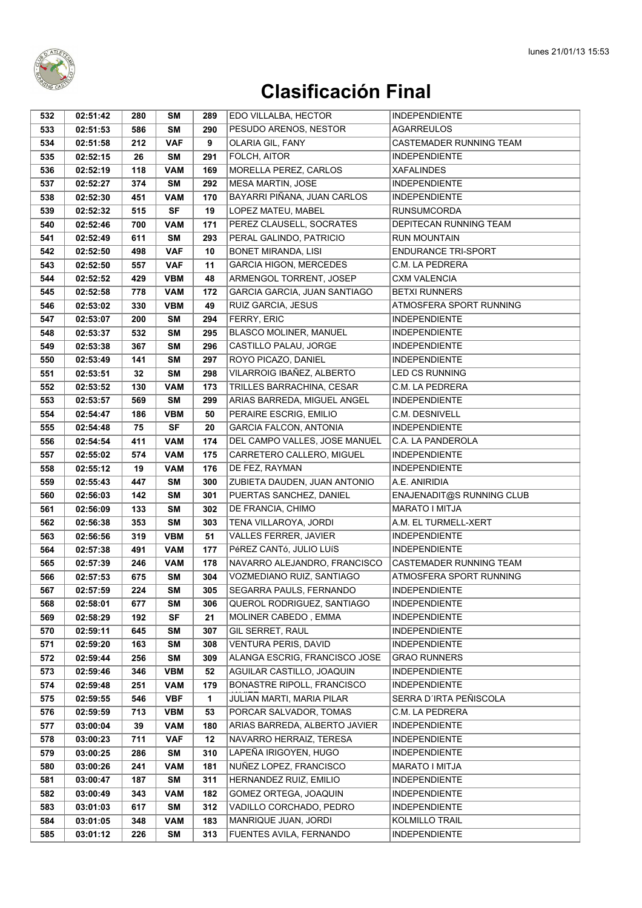

| 532 | 02:51:42 | 280 | SΜ         | 289        | EDO VILLALBA, HECTOR                            | <b>INDEPENDIENTE</b>                          |
|-----|----------|-----|------------|------------|-------------------------------------------------|-----------------------------------------------|
| 533 | 02:51:53 | 586 | <b>SM</b>  | 290        | PESUDO ARENOS, NESTOR                           | <b>AGARREULOS</b>                             |
| 534 | 02:51:58 | 212 | <b>VAF</b> | 9          | OLARIA GIL, FANY                                | CASTEMADER RUNNING TEAM                       |
| 535 | 02:52:15 | 26  | SM         | 291        | FOLCH, AITOR                                    | <b>INDEPENDIENTE</b>                          |
| 536 | 02:52:19 | 118 | <b>VAM</b> | 169        | MORELLA PEREZ, CARLOS                           | <b>XAFALINDES</b>                             |
| 537 | 02:52:27 | 374 | SM         | 292        | MESA MARTIN, JOSE                               | <b>INDEPENDIENTE</b>                          |
| 538 | 02:52:30 | 451 | <b>VAM</b> | 170        | BAYARRI PIÑANA, JUAN CARLOS                     | <b>INDEPENDIENTE</b>                          |
| 539 | 02:52:32 | 515 | <b>SF</b>  | 19         | LOPEZ MATEU, MABEL                              | <b>RUNSUMCORDA</b>                            |
| 540 | 02:52:46 | 700 | <b>VAM</b> | 171        | PEREZ CLAUSELL, SOCRATES                        | DEPITECAN RUNNING TEAM                        |
| 541 | 02:52:49 | 611 | <b>SM</b>  | 293        | PERAL GALINDO, PATRICIO                         | <b>RUN MOUNTAIN</b>                           |
| 542 | 02:52:50 | 498 | <b>VAF</b> | 10         | BONET MIRANDA, LISI                             | <b>ENDURANCE TRI-SPORT</b>                    |
| 543 | 02:52:50 | 557 | <b>VAF</b> | 11         | <b>GARCIA HIGON, MERCEDES</b>                   | C.M. LA PEDRERA                               |
| 544 | 02:52:52 | 429 | <b>VBM</b> | 48         | ARMENGOL TORRENT, JOSEP                         | <b>CXM VALENCIA</b>                           |
| 545 | 02:52:58 | 778 | <b>VAM</b> | 172        | GARCIA GARCIA, JUAN SANTIAGO                    | <b>BETXI RUNNERS</b>                          |
| 546 | 02:53:02 | 330 | <b>VBM</b> | 49         | RUIZ GARCIA, JESUS                              | ATMOSFERA SPORT RUNNING                       |
| 547 | 02:53:07 | 200 | SM         | 294        | FERRY, ERIC                                     | <b>INDEPENDIENTE</b>                          |
| 548 | 02:53:37 | 532 | SM         | 295        | BLASCO MOLINER, MANUEL                          | <b>INDEPENDIENTE</b>                          |
| 549 | 02:53:38 | 367 | <b>SM</b>  | 296        | CASTILLO PALAU, JORGE                           | <b>INDEPENDIENTE</b>                          |
| 550 | 02:53:49 | 141 | SM         | 297        | ROYO PICAZO, DANIEL                             | <b>INDEPENDIENTE</b>                          |
| 551 | 02:53:51 | 32  | <b>SM</b>  | 298        | VILARROIG IBAÑEZ, ALBERTO                       | <b>LED CS RUNNING</b>                         |
| 552 | 02:53:52 | 130 | <b>VAM</b> | 173        | TRILLES BARRACHINA, CESAR                       | C.M. LA PEDRERA                               |
| 553 | 02:53:57 | 569 | <b>SM</b>  | 299        | ARIAS BARREDA, MIGUEL ANGEL                     | <b>INDEPENDIENTE</b>                          |
| 554 | 02:54:47 | 186 | <b>VBM</b> | 50         | PERAIRE ESCRIG, EMILIO                          | C.M. DESNIVELL                                |
| 555 | 02:54:48 | 75  | <b>SF</b>  | 20         | <b>GARCIA FALCON, ANTONIA</b>                   | <b>INDEPENDIENTE</b>                          |
| 556 | 02:54:54 | 411 | <b>VAM</b> | 174        | DEL CAMPO VALLES, JOSE MANUEL                   | C.A. LA PANDEROLA                             |
| 557 | 02:55:02 | 574 | <b>VAM</b> | 175        | CARRETERO CALLERO, MIGUEL                       | <b>INDEPENDIENTE</b>                          |
| 558 | 02:55:12 | 19  | <b>VAM</b> | 176        | DE FEZ, RAYMAN                                  | <b>INDEPENDIENTE</b>                          |
| 559 | 02:55:43 | 447 | SM         | 300        | ZUBIETA DAUDEN, JUAN ANTONIO                    | A.E. ANIRIDIA                                 |
| 560 | 02:56:03 | 142 | SΜ         | 301        | PUERTAS SANCHEZ, DANIEL                         | ENAJENADIT@S RUNNING CLUB                     |
| 561 | 02:56:09 | 133 | SΜ         | 302        | DE FRANCIA, CHIMO                               | MARATO I MITJA                                |
| 562 | 02:56:38 | 353 | <b>SM</b>  | 303        | TENA VILLAROYA, JORDI                           | A.M. EL TURMELL-XERT                          |
| 563 | 02:56:56 | 319 | <b>VBM</b> | 51         | <b>VALLES FERRER, JAVIER</b>                    | <b>INDEPENDIENTE</b>                          |
| 564 | 02:57:38 | 491 | <b>VAM</b> | 177        | PéREZ CANTó, JULIO LUÍS                         | <b>INDEPENDIENTE</b>                          |
| 565 | 02:57:39 | 246 | <b>VAM</b> | 178        | NAVARRO ALEJANDRO, FRANCISCO                    | CASTEMADER RUNNING TEAM                       |
| 566 | 02:57:53 | 675 | SM         | 304        | VOZMEDIANO RUIZ, SANTIAGO                       | ATMOSFERA SPORT RUNNING                       |
| 567 | 02:57:59 | 224 | SM         | 305        | SEGARRA PAULS, FERNANDO                         | <b>INDEPENDIENTE</b>                          |
| 568 | 02:58:01 | 677 | <b>SM</b>  | 306        | QUEROL RODRIGUEZ, SANTIAGO                      | <b>INDEPENDIENTE</b>                          |
| 569 | 02:58:29 | 192 | <b>SF</b>  | 21         | MOLINER CABEDO, EMMA                            | <b>INDEPENDIENTE</b>                          |
| 570 | 02:59:11 | 645 | <b>SM</b>  | 307        | GIL SERRET, RAUL                                | <b>INDEPENDIENTE</b>                          |
| 571 | 02:59:20 | 163 | <b>SM</b>  | 308        | <b>VENTURA PERIS, DAVID</b>                     | <b>INDEPENDIENTE</b>                          |
| 572 | 02:59:44 | 256 | <b>SM</b>  | 309        | ALANGA ESCRIG, FRANCISCO JOSE                   | <b>GRAO RUNNERS</b>                           |
| 573 | 02:59:46 | 346 | <b>VBM</b> | 52         | AGUILAR CASTILLO, JOAQUIN                       | <b>INDEPENDIENTE</b>                          |
| 574 | 02:59:48 | 251 | <b>VAM</b> | 179        | BONASTRE RIPOLL, FRANCISCO                      | <b>INDEPENDIENTE</b>                          |
| 575 | 02:59:55 | 546 | <b>VBF</b> | 1          | JULIAN MARTI, MARIA PILAR                       | SERRA D'IRTA PEÑISCOLA                        |
| 576 | 02:59:59 | 713 | <b>VBM</b> | 53         | PORCAR SALVADOR, TOMAS                          | C.M. LA PEDRERA                               |
| 577 | 03:00:04 | 39  | <b>VAM</b> | 180        | ARIAS BARREDA, ALBERTO JAVIER                   | <b>INDEPENDIENTE</b>                          |
| 578 | 03:00:23 | 711 | <b>VAF</b> | 12         | NAVARRO HERRAIZ, TERESA                         | <b>INDEPENDIENTE</b>                          |
| 579 | 03:00:25 | 286 | <b>SM</b>  | 310        | LAPEÑA IRIGOYEN, HUGO                           | <b>INDEPENDIENTE</b>                          |
| 580 | 03:00:26 | 241 | <b>VAM</b> | 181        | NUÑEZ LOPEZ, FRANCISCO                          | <b>MARATO I MITJA</b>                         |
| 581 | 03:00:47 | 187 | SM         | 311        | HERNANDEZ RUIZ, EMILIO                          | <b>INDEPENDIENTE</b>                          |
| 582 | 03:00:49 | 343 | <b>VAM</b> | 182        | GOMEZ ORTEGA, JOAQUIN                           | <b>INDEPENDIENTE</b>                          |
| 583 | 03:01:03 | 617 | SM         | 312        | VADILLO CORCHADO, PEDRO<br>MANRIQUE JUAN, JORDI | <b>INDEPENDIENTE</b><br><b>KOLMILLO TRAIL</b> |
| 584 | 03:01:05 | 348 | <b>VAM</b> | 183<br>313 |                                                 | <b>INDEPENDIENTE</b>                          |
| 585 | 03:01:12 | 226 | SM         |            | FUENTES AVILA, FERNANDO                         |                                               |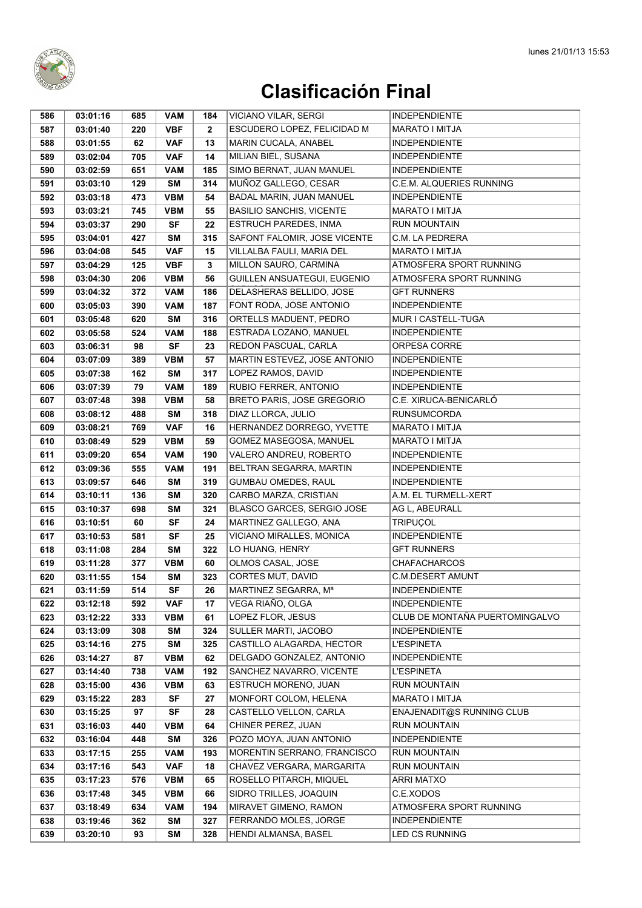

| 586        | 03:01:16             | 685       | <b>VAM</b>               | 184          | <b>VICIANO VILAR, SERGI</b>                           | <b>INDEPENDIENTE</b>                      |
|------------|----------------------|-----------|--------------------------|--------------|-------------------------------------------------------|-------------------------------------------|
| 587        | 03:01:40             | 220       | <b>VBF</b>               | $\mathbf{2}$ | ESCUDERO LOPEZ, FELICIDAD M                           | <b>MARATO I MITJA</b>                     |
| 588        | 03:01:55             | 62        | <b>VAF</b>               | 13           | MARIN CUCALA, ANABEL                                  | <b>INDEPENDIENTE</b>                      |
| 589        | 03:02:04             | 705       | <b>VAF</b>               | 14           | MILIAN BIEL, SUSANA                                   | <b>INDEPENDIENTE</b>                      |
| 590        | 03:02:59             | 651       | <b>VAM</b>               | 185          | SIMO BERNAT, JUAN MANUEL                              | <b>INDEPENDIENTE</b>                      |
| 591        | 03:03:10             | 129       | <b>SM</b>                | 314          | MUÑOZ GALLEGO, CESAR                                  | C.E.M. ALQUERIES RUNNING                  |
| 592        | 03:03:18             | 473       | <b>VBM</b>               | 54           | BADAL MARIN, JUAN MANUEL                              | <b>INDEPENDIENTE</b>                      |
| 593        | 03:03:21             | 745       | <b>VBM</b>               | 55           | <b>BASILIO SANCHIS, VICENTE</b>                       | MARATO I MITJA                            |
| 594        | 03:03:37             | 290       | <b>SF</b>                | 22           | ESTRUCH PAREDES, INMA                                 | <b>RUN MOUNTAIN</b>                       |
| 595        | 03:04:01             | 427       | SΜ                       | 315          | SAFONT FALOMIR, JOSE VICENTE                          | C.M. LA PEDRERA                           |
| 596        | 03:04:08             | 545       | <b>VAF</b>               | 15           | VILLALBA FAULI, MARIA DEL                             | <b>MARATO I MITJA</b>                     |
| 597        | 03:04:29             | 125       | <b>VBF</b>               | 3            | MILLON SAURO, CARMINA                                 | ATMOSFERA SPORT RUNNING                   |
| 598        | 03:04:30             | 206       | <b>VBM</b>               | 56           | <b>GUILLEN ANSUATEGUI, EUGENIO</b>                    | ATMOSFERA SPORT RUNNING                   |
| 599        | 03:04:32             | 372       | <b>VAM</b>               | 186          | DELASHERAS BELLIDO, JOSE                              | <b>GFT RUNNERS</b>                        |
| 600        | 03:05:03             | 390       | <b>VAM</b>               | 187          | FONT RODA, JOSE ANTONIO                               | <b>INDEPENDIENTE</b>                      |
| 601        | 03:05:48             | 620       | <b>SM</b>                | 316          | ORTELLS MADUENT, PEDRO                                | MUR I CASTELL-TUGA                        |
| 602        | 03:05:58             | 524       | <b>VAM</b>               | 188          | ESTRADA LOZANO, MANUEL                                | <b>INDEPENDIENTE</b>                      |
| 603        | 03:06:31             | 98        | <b>SF</b>                | 23           | REDON PASCUAL, CARLA                                  | ORPESA CORRE                              |
| 604        | 03:07:09             | 389       | <b>VBM</b>               | 57           | MARTIN ESTEVEZ, JOSE ANTONIO                          | <b>INDEPENDIENTE</b>                      |
| 605        | 03:07:38             | 162       | <b>SM</b>                | 317          | LOPEZ RAMOS, DAVID                                    | <b>INDEPENDIENTE</b>                      |
| 606        | 03:07:39             | 79        | <b>VAM</b>               | 189          | RUBIO FERRER, ANTONIO                                 | <b>INDEPENDIENTE</b>                      |
| 607        | 03:07:48             | 398       | <b>VBM</b>               | 58           | <b>BRETO PARIS, JOSE GREGORIO</b>                     | C.E. XIRUCA-BENICARLÓ                     |
| 608        | 03:08:12             | 488       | <b>SM</b>                | 318          | DIAZ LLORCA, JULIO                                    | <b>RUNSUMCORDA</b>                        |
| 609        | 03:08:21             | 769       | <b>VAF</b>               | 16           | HERNANDEZ DORREGO, YVETTE                             | MARATO I MITJA                            |
| 610        | 03:08:49             | 529       | <b>VBM</b>               | 59           | GOMEZ MASEGOSA, MANUEL                                | MARATO I MITJA                            |
| 611        | 03:09:20             | 654       | <b>VAM</b>               | 190          | VALERO ANDREU, ROBERTO                                | <b>INDEPENDIENTE</b>                      |
| 612        | 03:09:36             | 555       | <b>VAM</b>               | 191          | BELTRAN SEGARRA, MARTIN                               | <b>INDEPENDIENTE</b>                      |
| 613        | 03:09:57             | 646       | SΜ                       | 319          | GUMBAU OMEDES, RAUL                                   | <b>INDEPENDIENTE</b>                      |
| 614        | 03:10:11             | 136       | SΜ                       | 320          | CARBO MARZA, CRISTIAN                                 | A.M. EL TURMELL-XERT                      |
| 615        | 03:10:37             | 698       | <b>SM</b>                | 321          | BLASCO GARCES, SERGIO JOSE                            | AG L, ABEURALL                            |
| 616        | 03:10:51             | 60        | <b>SF</b>                | 24           | MARTINEZ GALLEGO, ANA                                 | <b>TRIPUÇOL</b>                           |
| 617        | 03:10:53             | 581       | <b>SF</b>                | 25           | VICIANO MIRALLES, MONICA                              | <b>INDEPENDIENTE</b>                      |
| 618        | 03:11:08             | 284       | <b>SM</b>                | 322          | LO HUANG, HENRY                                       | <b>GFT RUNNERS</b>                        |
| 619        | 03:11:28             | 377       | <b>VBM</b>               | 60           | OLMOS CASAL, JOSE                                     | <b>CHAFACHARCOS</b>                       |
| 620        | 03:11:55             | 154       | <b>SM</b>                | 323          | CORTES MUT, DAVID                                     | <b>C.M.DESERT AMUNT</b>                   |
| 621        | 03:11:59             | 514       | $\overline{\mathsf{SF}}$ | 26           | MARTINEZ SEGARRA, Mª                                  | INDEPENDIENTE                             |
| 622        | 03:12:18             | 592       | <b>VAF</b>               | 17           | VEGA RIAÑO, OLGA                                      | <b>INDEPENDIENTE</b>                      |
| 623        | 03:12:22             | 333       | <b>VBM</b>               | 61           | LOPEZ FLOR, JESUS                                     | CLUB DE MONTAÑA PUERTOMINGALVO            |
| 624        | 03:13:09             | 308       | <b>SM</b>                | 324          | SULLER MARTI, JACOBO                                  | <b>INDEPENDIENTE</b>                      |
| 625        | 03:14:16             | 275       | <b>SM</b>                | 325          | CASTILLO ALAGARDA, HECTOR                             | <b>L'ESPINETA</b>                         |
| 626<br>627 | 03:14:27<br>03:14:40 | 87<br>738 | <b>VBM</b><br><b>VAM</b> | 62<br>192    | DELGADO GONZALEZ, ANTONIO<br>SANCHEZ NAVARRO, VICENTE | <b>INDEPENDIENTE</b><br><b>L'ESPINETA</b> |
| 628        | 03:15:00             | 436       | <b>VBM</b>               | 63           | ESTRUCH MORENO, JUAN                                  | <b>RUN MOUNTAIN</b>                       |
| 629        | 03:15:22             | 283       | SF                       | 27           | MONFORT COLOM, HELENA                                 | MARATO I MITJA                            |
| 630        | 03:15:25             | 97        | <b>SF</b>                | 28           | CASTELLO VELLON, CARLA                                | ENAJENADIT@S RUNNING CLUB                 |
| 631        | 03:16:03             | 440       | <b>VBM</b>               | 64           | CHINER PEREZ, JUAN                                    | <b>RUN MOUNTAIN</b>                       |
| 632        | 03:16:04             | 448       | SΜ                       | 326          | POZO MOYA, JUAN ANTONIO                               | <b>INDEPENDIENTE</b>                      |
| 633        | 03:17:15             | 255       | <b>VAM</b>               | 193          | MORENTIN SERRANO, FRANCISCO                           | RUN MOUNTAIN                              |
| 634        | 03:17:16             | 543       | <b>VAF</b>               | 18           | CHAVEZ VERGARA, MARGARITA                             | <b>RUN MOUNTAIN</b>                       |
| 635        | 03:17:23             | 576       | <b>VBM</b>               | 65           | ROSELLO PITARCH, MIQUEL                               | <b>ARRI MATXO</b>                         |
| 636        | 03:17:48             | 345       | <b>VBM</b>               | 66           | SIDRO TRILLES, JOAQUIN                                | C.E.XODOS                                 |
| 637        | 03:18:49             | 634       | <b>VAM</b>               | 194          | MIRAVET GIMENO, RAMON                                 | ATMOSFERA SPORT RUNNING                   |
| 638        | 03:19:46             | 362       | <b>SM</b>                | 327          | FERRANDO MOLES, JORGE                                 | <b>INDEPENDIENTE</b>                      |
| 639        | 03:20:10             | 93        | <b>SM</b>                | 328          | HENDI ALMANSA, BASEL                                  | LED CS RUNNING                            |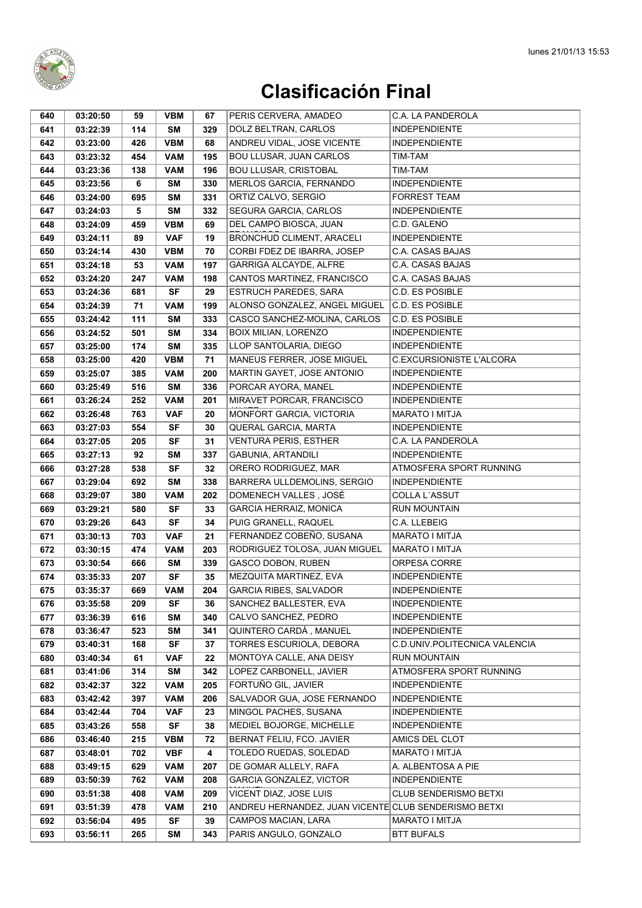

| 640 | 03:20:50 | 59  | <b>VBM</b> | 67  | PERIS CERVERA, AMADEO                                | C.A. LA PANDEROLA             |
|-----|----------|-----|------------|-----|------------------------------------------------------|-------------------------------|
| 641 | 03:22:39 | 114 | <b>SM</b>  | 329 | DOLZ BELTRAN, CARLOS                                 | <b>INDEPENDIENTE</b>          |
| 642 | 03:23:00 | 426 | <b>VBM</b> | 68  | ANDREU VIDAL, JOSE VICENTE                           | <b>INDEPENDIENTE</b>          |
| 643 | 03:23:32 | 454 | <b>VAM</b> | 195 | BOU LLUSAR, JUAN CARLOS                              | TIM-TAM                       |
| 644 | 03:23:36 | 138 | <b>VAM</b> | 196 | <b>BOU LLUSAR, CRISTOBAL</b>                         | TIM-TAM                       |
| 645 | 03:23:56 | 6   | SM         | 330 | MERLOS GARCIA, FERNANDO                              | <b>INDEPENDIENTE</b>          |
| 646 | 03:24:00 | 695 | <b>SM</b>  | 331 | ORTIZ CALVO, SERGIO                                  | <b>FORREST TEAM</b>           |
| 647 | 03:24:03 | 5   | <b>SM</b>  | 332 | SEGURA GARCIA, CARLOS                                | <b>INDEPENDIENTE</b>          |
| 648 | 03:24:09 | 459 | <b>VBM</b> | 69  | DEL CAMPO BIOSCA, JUAN                               | C.D. GALENO                   |
| 649 | 03:24:11 | 89  | <b>VAF</b> | 19  | <b>BRONCHUD CLIMENT, ARACELI</b>                     | <b>INDEPENDIENTE</b>          |
| 650 | 03:24:14 | 430 | <b>VBM</b> | 70  | CORBI FDEZ DE IBARRA, JOSEP                          | C.A. CASAS BAJAS              |
| 651 | 03:24:18 | 53  | <b>VAM</b> | 197 | GARRIGA ALCAYDE, ALFRE                               | C.A. CASAS BAJAS              |
| 652 | 03:24:20 | 247 | <b>VAM</b> | 198 | CANTOS MARTINEZ, FRANCISCO                           | <b>C.A. CASAS BAJAS</b>       |
| 653 | 03:24:36 | 681 | <b>SF</b>  | 29  | <b>ESTRUCH PAREDES, SARA</b>                         | <b>C.D. ES POSIBLE</b>        |
| 654 | 03:24:39 | 71  | <b>VAM</b> | 199 | ALONSO GONZALEZ, ANGEL MIGUEL                        | C.D. ES POSIBLE               |
| 655 | 03:24:42 | 111 | <b>SM</b>  | 333 | CASCO SANCHEZ-MOLINA, CARLOS                         | <b>C.D. ES POSIBLE</b>        |
| 656 | 03:24:52 | 501 | <b>SM</b>  | 334 | <b>BOIX MILIAN, LORENZO</b>                          | <b>INDEPENDIENTE</b>          |
| 657 | 03:25:00 | 174 | <b>SM</b>  | 335 | LLOP SANTOLARIA, DIEGO                               | <b>INDEPENDIENTE</b>          |
| 658 | 03:25:00 | 420 | <b>VBM</b> | 71  | MANEUS FERRER, JOSE MIGUEL                           | C.EXCURSIONISTE L'ALCORA      |
| 659 | 03:25:07 | 385 | <b>VAM</b> | 200 | MARTIN GAYET, JOSE ANTONIO                           | <b>INDEPENDIENTE</b>          |
| 660 | 03:25:49 | 516 | <b>SM</b>  | 336 | PORCAR AYORA, MANEL                                  | <b>INDEPENDIENTE</b>          |
| 661 | 03:26:24 | 252 | <b>VAM</b> | 201 | MIRAVET PORCAR, FRANCISCO                            | <b>INDEPENDIENTE</b>          |
| 662 | 03:26:48 | 763 | <b>VAF</b> | 20  | MONFORT GARCIA, VICTORIA                             | MARATO I MITJA                |
| 663 | 03:27:03 | 554 | <b>SF</b>  | 30  | QUERAL GARCIA, MARTA                                 | <b>INDEPENDIENTE</b>          |
| 664 | 03:27:05 | 205 | <b>SF</b>  | 31  | <b>VENTURA PERIS, ESTHER</b>                         | C.A. LA PANDEROLA             |
| 665 | 03:27:13 | 92  | <b>SM</b>  | 337 | GABUNIA, ARTANDILI                                   | <b>INDEPENDIENTE</b>          |
| 666 | 03:27:28 | 538 | <b>SF</b>  | 32  | ORERO RODRIGUEZ, MAR                                 | ATMOSFERA SPORT RUNNING       |
| 667 | 03:29:04 | 692 | <b>SM</b>  | 338 | BARRERA ULLDEMOLINS, SERGIO                          | <b>INDEPENDIENTE</b>          |
| 668 | 03:29:07 | 380 | VAM        | 202 | DOMENECH VALLES, JOSÉ                                | COLLA L'ASSUT                 |
| 669 | 03:29:21 | 580 | <b>SF</b>  | 33  | <b>GARCIA HERRAIZ, MONICA</b>                        | <b>RUN MOUNTAIN</b>           |
| 670 | 03:29:26 | 643 | <b>SF</b>  | 34  | PUIG GRANELL, RAQUEL                                 | C.A. LLEBEIG                  |
| 671 | 03:30:13 | 703 | <b>VAF</b> | 21  | FERNANDEZ COBEÑO, SUSANA                             | <b>MARATO I MITJA</b>         |
| 672 | 03:30:15 | 474 | <b>VAM</b> | 203 | RODRIGUEZ TOLOSA, JUAN MIGUEL                        | <b>MARATO I MITJA</b>         |
| 673 | 03:30:54 | 666 | <b>SM</b>  | 339 | GASCO DOBON, RUBEN                                   | ORPESA CORRE                  |
| 674 | 03:35:33 | 207 | <b>SF</b>  | 35  | MEZQUITA MARTINEZ, EVA                               | <b>INDEPENDIENTE</b>          |
| 675 | 03:35:37 | 669 | <b>VAM</b> | 204 | GARCIA RIBES, SALVADOR                               | <b>INDEPENDIENTE</b>          |
| 676 | 03:35:58 | 209 | SF         | 36  | SANCHEZ BALLESTER, EVA                               | <b>INDEPENDIENTE</b>          |
| 677 | 03:36:39 | 616 | <b>SM</b>  | 340 | CALVO SANCHEZ, PEDRO                                 | <b>INDEPENDIENTE</b>          |
| 678 | 03:36:47 | 523 | <b>SM</b>  | 341 | QUINTERO CARDÁ, MANUEL                               | <b>INDEPENDIENTE</b>          |
| 679 | 03:40:31 | 168 | <b>SF</b>  | 37  | TORRES ESCURIOLA, DEBORA                             | C.D.UNIV.POLITECNICA VALENCIA |
| 680 | 03:40:34 | 61  | VAF        | 22  | MONTOYA CALLE, ANA DEISY                             | <b>RUN MOUNTAIN</b>           |
| 681 | 03:41:06 | 314 | <b>SM</b>  | 342 | LOPEZ CARBONELL, JAVIER                              | ATMOSFERA SPORT RUNNING       |
| 682 | 03:42:37 | 322 | <b>VAM</b> | 205 | FORTUÑO GIL, JAVIER                                  | <b>INDEPENDIENTE</b>          |
| 683 | 03:42:42 | 397 | <b>VAM</b> | 206 | SALVADOR GUA, JOSE FERNANDO                          | <b>INDEPENDIENTE</b>          |
| 684 | 03:42:44 | 704 | <b>VAF</b> | 23  | MINGOL PACHES, SUSANA                                | <b>INDEPENDIENTE</b>          |
| 685 | 03:43:26 | 558 | <b>SF</b>  | 38  | MEDIEL BOJORGE, MICHELLE                             | <b>INDEPENDIENTE</b>          |
| 686 | 03:46:40 | 215 | <b>VBM</b> | 72  | BERNAT FELIU, FCO. JAVIER                            | AMICS DEL CLOT                |
| 687 | 03:48:01 | 702 | VBF        | 4   | TOLEDO RUEDAS, SOLEDAD                               | MARATO I MITJA                |
| 688 | 03:49:15 | 629 | <b>VAM</b> | 207 | DE GOMAR ALLELY, RAFA                                | A. ALBENTOSA A PIE            |
| 689 | 03:50:39 | 762 | <b>VAM</b> | 208 | <b>GARCIA GONZALEZ, VICTOR</b>                       | <b>INDEPENDIENTE</b>          |
| 690 | 03:51:38 | 408 | <b>VAM</b> | 209 | VICENT DIAZ, JOSE LUIS                               | <b>CLUB SENDERISMO BETXI</b>  |
| 691 | 03:51:39 | 478 | <b>VAM</b> | 210 | ANDREU HERNANDEZ, JUAN VICENTE CLUB SENDERISMO BETXI |                               |
| 692 | 03:56:04 | 495 | <b>SF</b>  | 39  | CAMPOS MACIAN, LARA                                  | MARATO I MITJA                |
| 693 | 03:56:11 | 265 | <b>SM</b>  | 343 | PARIS ANGULO, GONZALO                                | <b>BTT BUFALS</b>             |